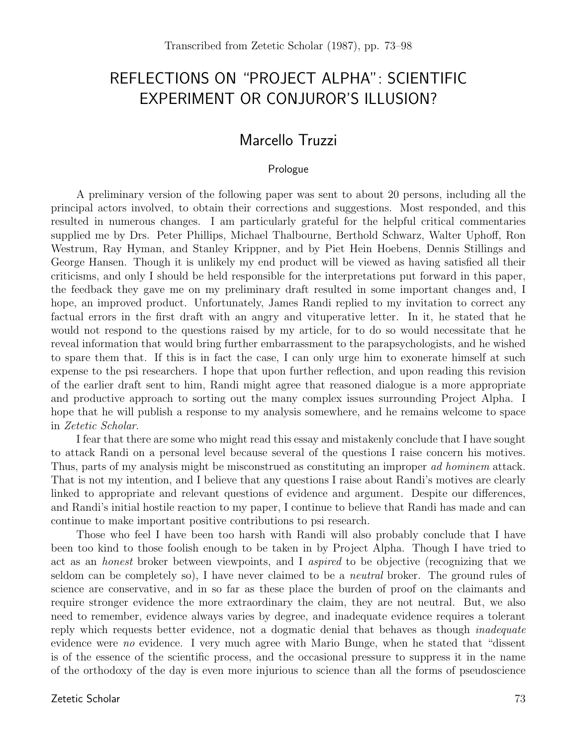# REFLECTIONS ON "PROJECT ALPHA": SCIENTIFIC EXPERIMENT OR CONJUROR'S ILLUSION?

# Marcello Truzzi

# Prologue

A preliminary version of the following paper was sent to about 20 persons, including all the principal actors involved, to obtain their corrections and suggestions. Most responded, and this resulted in numerous changes. I am particularly grateful for the helpful critical commentaries supplied me by Drs. Peter Phillips, Michael Thalbourne, Berthold Schwarz, Walter Uphoff, Ron Westrum, Ray Hyman, and Stanley Krippner, and by Piet Hein Hoebens, Dennis Stillings and George Hansen. Though it is unlikely my end product will be viewed as having satisfied all their criticisms, and only I should be held responsible for the interpretations put forward in this paper, the feedback they gave me on my preliminary draft resulted in some important changes and, I hope, an improved product. Unfortunately, James Randi replied to my invitation to correct any factual errors in the first draft with an angry and vituperative letter. In it, he stated that he would not respond to the questions raised by my article, for to do so would necessitate that he reveal information that would bring further embarrassment to the parapsychologists, and he wished to spare them that. If this is in fact the case, I can only urge him to exonerate himself at such expense to the psi researchers. I hope that upon further reflection, and upon reading this revision of the earlier draft sent to him, Randi might agree that reasoned dialogue is a more appropriate and productive approach to sorting out the many complex issues surrounding Project Alpha. I hope that he will publish a response to my analysis somewhere, and he remains welcome to space in Zetetic Scholar.

I fear that there are some who might read this essay and mistakenly conclude that I have sought to attack Randi on a personal level because several of the questions I raise concern his motives. Thus, parts of my analysis might be misconstrued as constituting an improper ad hominem attack. That is not my intention, and I believe that any questions I raise about Randi's motives are clearly linked to appropriate and relevant questions of evidence and argument. Despite our differences, and Randi's initial hostile reaction to my paper, I continue to believe that Randi has made and can continue to make important positive contributions to psi research.

Those who feel I have been too harsh with Randi will also probably conclude that I have been too kind to those foolish enough to be taken in by Project Alpha. Though I have tried to act as an honest broker between viewpoints, and I aspired to be objective (recognizing that we seldom can be completely so), I have never claimed to be a neutral broker. The ground rules of science are conservative, and in so far as these place the burden of proof on the claimants and require stronger evidence the more extraordinary the claim, they are not neutral. But, we also need to remember, evidence always varies by degree, and inadequate evidence requires a tolerant reply which requests better evidence, not a dogmatic denial that behaves as though inadequate evidence were no evidence. I very much agree with Mario Bunge, when he stated that "dissent is of the essence of the scientific process, and the occasional pressure to suppress it in the name of the orthodoxy of the day is even more injurious to science than all the forms of pseudoscience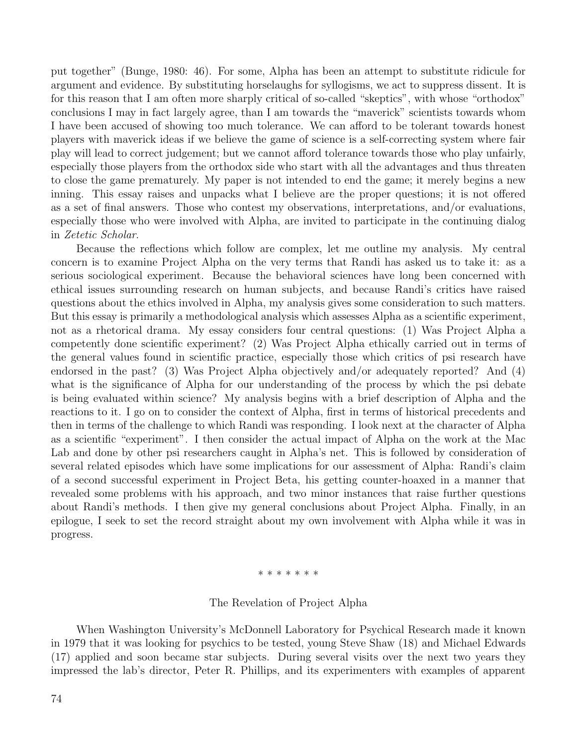put together" (Bunge, 1980: 46). For some, Alpha has been an attempt to substitute ridicule for argument and evidence. By substituting horselaughs for syllogisms, we act to suppress dissent. It is for this reason that I am often more sharply critical of so-called "skeptics", with whose "orthodox" conclusions I may in fact largely agree, than I am towards the "maverick" scientists towards whom I have been accused of showing too much tolerance. We can afford to be tolerant towards honest players with maverick ideas if we believe the game of science is a self-correcting system where fair play will lead to correct judgement; but we cannot afford tolerance towards those who play unfairly, especially those players from the orthodox side who start with all the advantages and thus threaten to close the game prematurely. My paper is not intended to end the game; it merely begins a new inning. This essay raises and unpacks what I believe are the proper questions; it is not offered as a set of final answers. Those who contest my observations, interpretations, and/or evaluations, especially those who were involved with Alpha, are invited to participate in the continuing dialog in Zetetic Scholar.

Because the reflections which follow are complex, let me outline my analysis. My central concern is to examine Project Alpha on the very terms that Randi has asked us to take it: as a serious sociological experiment. Because the behavioral sciences have long been concerned with ethical issues surrounding research on human subjects, and because Randi's critics have raised questions about the ethics involved in Alpha, my analysis gives some consideration to such matters. But this essay is primarily a methodological analysis which assesses Alpha as a scientific experiment, not as a rhetorical drama. My essay considers four central questions: (1) Was Project Alpha a competently done scientific experiment? (2) Was Project Alpha ethically carried out in terms of the general values found in scientific practice, especially those which critics of psi research have endorsed in the past? (3) Was Project Alpha objectively and/or adequately reported? And (4) what is the significance of Alpha for our understanding of the process by which the psi debate is being evaluated within science? My analysis begins with a brief description of Alpha and the reactions to it. I go on to consider the context of Alpha, first in terms of historical precedents and then in terms of the challenge to which Randi was responding. I look next at the character of Alpha as a scientific "experiment". I then consider the actual impact of Alpha on the work at the Mac Lab and done by other psi researchers caught in Alpha's net. This is followed by consideration of several related episodes which have some implications for our assessment of Alpha: Randi's claim of a second successful experiment in Project Beta, his getting counter-hoaxed in a manner that revealed some problems with his approach, and two minor instances that raise further questions about Randi's methods. I then give my general conclusions about Project Alpha. Finally, in an epilogue, I seek to set the record straight about my own involvement with Alpha while it was in progress.

#### \* \* \* \* \* \* \*

#### The Revelation of Project Alpha

When Washington University's McDonnell Laboratory for Psychical Research made it known in 1979 that it was looking for psychics to be tested, young Steve Shaw (18) and Michael Edwards (17) applied and soon became star subjects. During several visits over the next two years they impressed the lab's director, Peter R. Phillips, and its experimenters with examples of apparent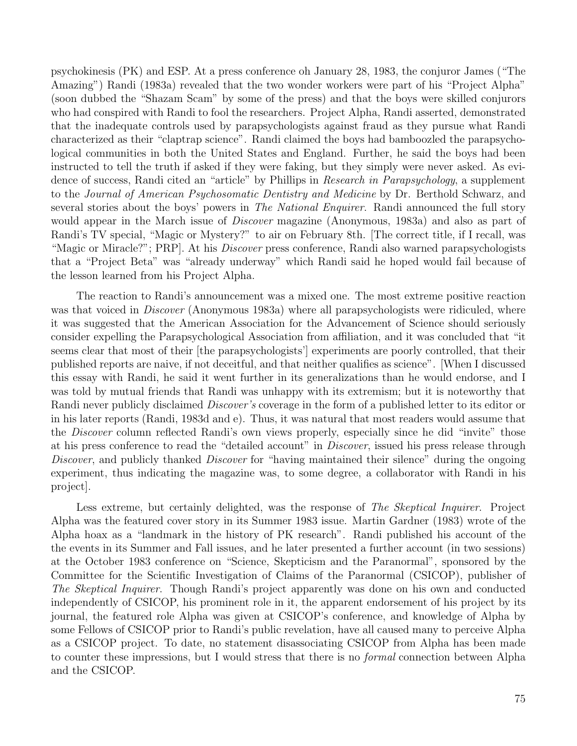psychokinesis (PK) and ESP. At a press conference oh January 28, 1983, the conjuror James ("The Amazing") Randi (1983a) revealed that the two wonder workers were part of his "Project Alpha" (soon dubbed the "Shazam Scam" by some of the press) and that the boys were skilled conjurors who had conspired with Randi to fool the researchers. Project Alpha, Randi asserted, demonstrated that the inadequate controls used by parapsychologists against fraud as they pursue what Randi characterized as their "claptrap science". Randi claimed the boys had bamboozled the parapsychological communities in both the United States and England. Further, he said the boys had been instructed to tell the truth if asked if they were faking, but they simply were never asked. As evidence of success, Randi cited an "article" by Phillips in Research in Parapsychology, a supplement to the Journal of American Psychosomatic Dentistry and Medicine by Dr. Berthold Schwarz, and several stories about the boys' powers in *The National Enquirer*. Randi announced the full story would appear in the March issue of *Discover* magazine (Anonymous, 1983a) and also as part of Randi's TV special, "Magic or Mystery?" to air on February 8th. [The correct title, if I recall, was "Magic or Miracle?"; PRP. At his *Discover* press conference, Randi also warned parapsychologists that a "Project Beta" was "already underway" which Randi said he hoped would fail because of the lesson learned from his Project Alpha.

The reaction to Randi's announcement was a mixed one. The most extreme positive reaction was that voiced in *Discover* (Anonymous 1983a) where all parapsychologists were ridiculed, where it was suggested that the American Association for the Advancement of Science should seriously consider expelling the Parapsychological Association from affiliation, and it was concluded that "it seems clear that most of their [the parapsychologists'] experiments are poorly controlled, that their published reports are naive, if not deceitful, and that neither qualifies as science". [When I discussed this essay with Randi, he said it went further in its generalizations than he would endorse, and I was told by mutual friends that Randi was unhappy with its extremism; but it is noteworthy that Randi never publicly disclaimed Discover's coverage in the form of a published letter to its editor or in his later reports (Randi, 1983d and e). Thus, it was natural that most readers would assume that the Discover column reflected Randi's own views properly, especially since he did "invite" those at his press conference to read the "detailed account" in Discover, issued his press release through Discover, and publicly thanked Discover for "having maintained their silence" during the ongoing experiment, thus indicating the magazine was, to some degree, a collaborator with Randi in his project].

Less extreme, but certainly delighted, was the response of The Skeptical Inquirer. Project Alpha was the featured cover story in its Summer 1983 issue. Martin Gardner (1983) wrote of the Alpha hoax as a "landmark in the history of PK research". Randi published his account of the the events in its Summer and Fall issues, and he later presented a further account (in two sessions) at the October 1983 conference on "Science, Skepticism and the Paranormal", sponsored by the Committee for the Scientific Investigation of Claims of the Paranormal (CSICOP), publisher of The Skeptical Inquirer. Though Randi's project apparently was done on his own and conducted independently of CSICOP, his prominent role in it, the apparent endorsement of his project by its journal, the featured role Alpha was given at CSICOP's conference, and knowledge of Alpha by some Fellows of CSICOP prior to Randi's public revelation, have all caused many to perceive Alpha as a CSICOP project. To date, no statement disassociating CSICOP from Alpha has been made to counter these impressions, but I would stress that there is no formal connection between Alpha and the CSICOP.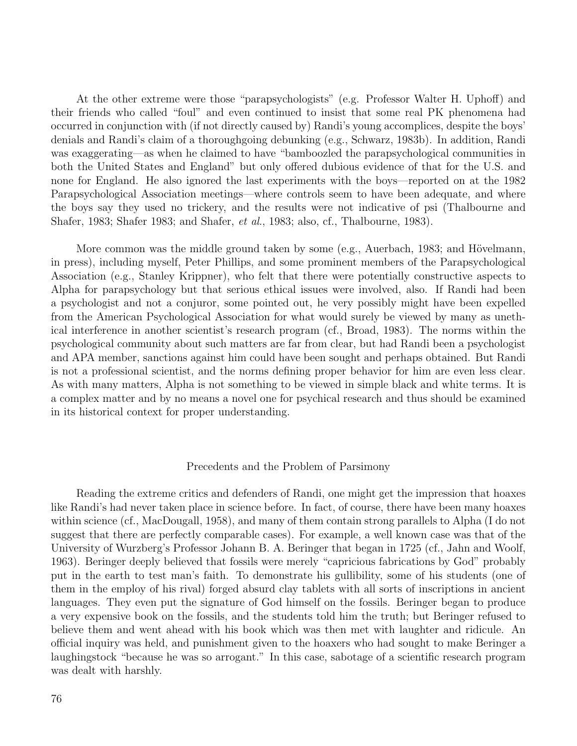At the other extreme were those "parapsychologists" (e.g. Professor Walter H. Uphoff) and their friends who called "foul" and even continued to insist that some real PK phenomena had occurred in conjunction with (if not directly caused by) Randi's young accomplices, despite the boys' denials and Randi's claim of a thoroughgoing debunking (e.g., Schwarz, 1983b). In addition, Randi was exaggerating—as when he claimed to have "bamboozled the parapsychological communities in both the United States and England" but only offered dubious evidence of that for the U.S. and none for England. He also ignored the last experiments with the boys—reported on at the 1982 Parapsychological Association meetings—where controls seem to have been adequate, and where the boys say they used no trickery, and the results were not indicative of psi (Thalbourne and Shafer, 1983; Shafer 1983; and Shafer, et al., 1983; also, cf., Thalbourne, 1983).

More common was the middle ground taken by some (e.g., Auerbach, 1983; and Hövelmann, in press), including myself, Peter Phillips, and some prominent members of the Parapsychological Association (e.g., Stanley Krippner), who felt that there were potentially constructive aspects to Alpha for parapsychology but that serious ethical issues were involved, also. If Randi had been a psychologist and not a conjuror, some pointed out, he very possibly might have been expelled from the American Psychological Association for what would surely be viewed by many as unethical interference in another scientist's research program (cf., Broad, 1983). The norms within the psychological community about such matters are far from clear, but had Randi been a psychologist and APA member, sanctions against him could have been sought and perhaps obtained. But Randi is not a professional scientist, and the norms defining proper behavior for him are even less clear. As with many matters, Alpha is not something to be viewed in simple black and white terms. It is a complex matter and by no means a novel one for psychical research and thus should be examined in its historical context for proper understanding.

#### Precedents and the Problem of Parsimony

Reading the extreme critics and defenders of Randi, one might get the impression that hoaxes like Randi's had never taken place in science before. In fact, of course, there have been many hoaxes within science (cf., MacDougall, 1958), and many of them contain strong parallels to Alpha (I do not suggest that there are perfectly comparable cases). For example, a well known case was that of the University of Wurzberg's Professor Johann B. A. Beringer that began in 1725 (cf., Jahn and Woolf, 1963). Beringer deeply believed that fossils were merely "capricious fabrications by God" probably put in the earth to test man's faith. To demonstrate his gullibility, some of his students (one of them in the employ of his rival) forged absurd clay tablets with all sorts of inscriptions in ancient languages. They even put the signature of God himself on the fossils. Beringer began to produce a very expensive book on the fossils, and the students told him the truth; but Beringer refused to believe them and went ahead with his book which was then met with laughter and ridicule. An official inquiry was held, and punishment given to the hoaxers who had sought to make Beringer a laughingstock "because he was so arrogant." In this case, sabotage of a scientific research program was dealt with harshly.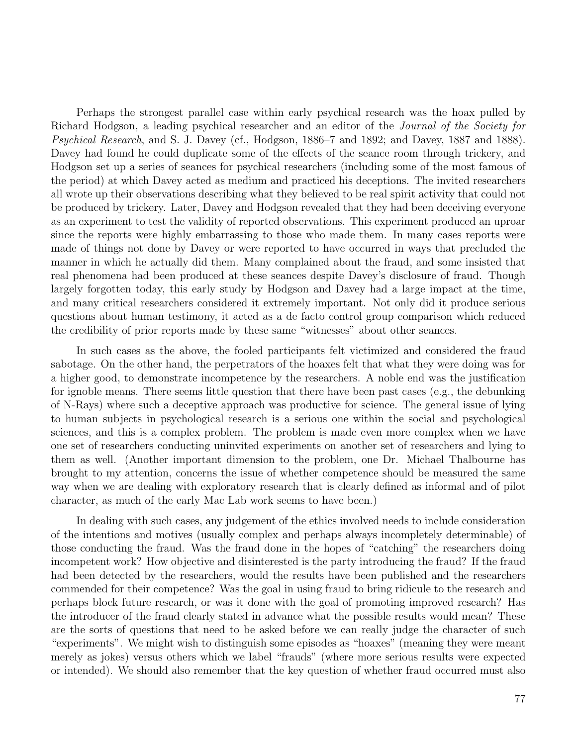Perhaps the strongest parallel case within early psychical research was the hoax pulled by Richard Hodgson, a leading psychical researcher and an editor of the Journal of the Society for Psychical Research, and S. J. Davey (cf., Hodgson, 1886–7 and 1892; and Davey, 1887 and 1888). Davey had found he could duplicate some of the effects of the seance room through trickery, and Hodgson set up a series of seances for psychical researchers (including some of the most famous of the period) at which Davey acted as medium and practiced his deceptions. The invited researchers all wrote up their observations describing what they believed to be real spirit activity that could not be produced by trickery. Later, Davey and Hodgson revealed that they had been deceiving everyone as an experiment to test the validity of reported observations. This experiment produced an uproar since the reports were highly embarrassing to those who made them. In many cases reports were made of things not done by Davey or were reported to have occurred in ways that precluded the manner in which he actually did them. Many complained about the fraud, and some insisted that real phenomena had been produced at these seances despite Davey's disclosure of fraud. Though largely forgotten today, this early study by Hodgson and Davey had a large impact at the time, and many critical researchers considered it extremely important. Not only did it produce serious questions about human testimony, it acted as a de facto control group comparison which reduced the credibility of prior reports made by these same "witnesses" about other seances.

In such cases as the above, the fooled participants felt victimized and considered the fraud sabotage. On the other hand, the perpetrators of the hoaxes felt that what they were doing was for a higher good, to demonstrate incompetence by the researchers. A noble end was the justification for ignoble means. There seems little question that there have been past cases (e.g., the debunking of N-Rays) where such a deceptive approach was productive for science. The general issue of lying to human subjects in psychological research is a serious one within the social and psychological sciences, and this is a complex problem. The problem is made even more complex when we have one set of researchers conducting uninvited experiments on another set of researchers and lying to them as well. (Another important dimension to the problem, one Dr. Michael Thalbourne has brought to my attention, concerns the issue of whether competence should be measured the same way when we are dealing with exploratory research that is clearly defined as informal and of pilot character, as much of the early Mac Lab work seems to have been.)

In dealing with such cases, any judgement of the ethics involved needs to include consideration of the intentions and motives (usually complex and perhaps always incompletely determinable) of those conducting the fraud. Was the fraud done in the hopes of "catching" the researchers doing incompetent work? How objective and disinterested is the party introducing the fraud? If the fraud had been detected by the researchers, would the results have been published and the researchers commended for their competence? Was the goal in using fraud to bring ridicule to the research and perhaps block future research, or was it done with the goal of promoting improved research? Has the introducer of the fraud clearly stated in advance what the possible results would mean? These are the sorts of questions that need to be asked before we can really judge the character of such "experiments". We might wish to distinguish some episodes as "hoaxes" (meaning they were meant merely as jokes) versus others which we label "frauds" (where more serious results were expected or intended). We should also remember that the key question of whether fraud occurred must also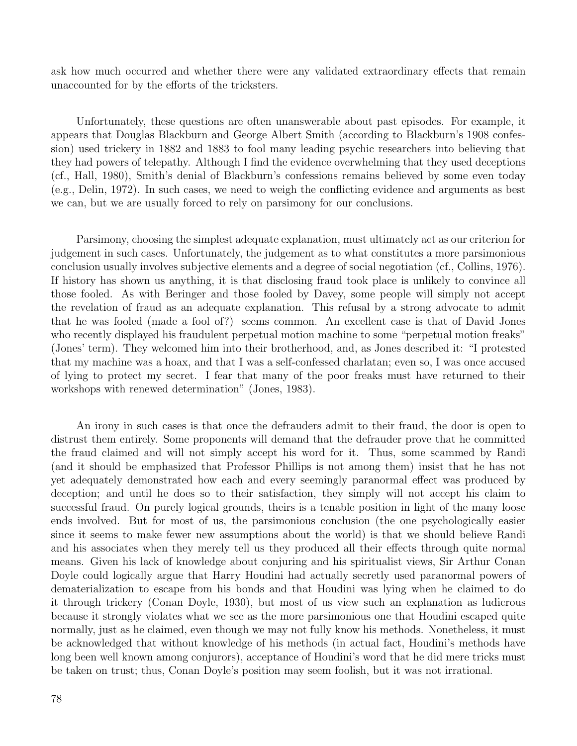ask how much occurred and whether there were any validated extraordinary effects that remain unaccounted for by the efforts of the tricksters.

Unfortunately, these questions are often unanswerable about past episodes. For example, it appears that Douglas Blackburn and George Albert Smith (according to Blackburn's 1908 confession) used trickery in 1882 and 1883 to fool many leading psychic researchers into believing that they had powers of telepathy. Although I find the evidence overwhelming that they used deceptions (cf., Hall, 1980), Smith's denial of Blackburn's confessions remains believed by some even today (e.g., Delin, 1972). In such cases, we need to weigh the conflicting evidence and arguments as best we can, but we are usually forced to rely on parsimony for our conclusions.

Parsimony, choosing the simplest adequate explanation, must ultimately act as our criterion for judgement in such cases. Unfortunately, the judgement as to what constitutes a more parsimonious conclusion usually involves subjective elements and a degree of social negotiation (cf., Collins, 1976). If history has shown us anything, it is that disclosing fraud took place is unlikely to convince all those fooled. As with Beringer and those fooled by Davey, some people will simply not accept the revelation of fraud as an adequate explanation. This refusal by a strong advocate to admit that he was fooled (made a fool of?) seems common. An excellent case is that of David Jones who recently displayed his fraudulent perpetual motion machine to some "perpetual motion freaks" (Jones' term). They welcomed him into their brotherhood, and, as Jones described it: "I protested that my machine was a hoax, and that I was a self-confessed charlatan; even so, I was once accused of lying to protect my secret. I fear that many of the poor freaks must have returned to their workshops with renewed determination" (Jones, 1983).

An irony in such cases is that once the defrauders admit to their fraud, the door is open to distrust them entirely. Some proponents will demand that the defrauder prove that he committed the fraud claimed and will not simply accept his word for it. Thus, some scammed by Randi (and it should be emphasized that Professor Phillips is not among them) insist that he has not yet adequately demonstrated how each and every seemingly paranormal effect was produced by deception; and until he does so to their satisfaction, they simply will not accept his claim to successful fraud. On purely logical grounds, theirs is a tenable position in light of the many loose ends involved. But for most of us, the parsimonious conclusion (the one psychologically easier since it seems to make fewer new assumptions about the world) is that we should believe Randi and his associates when they merely tell us they produced all their effects through quite normal means. Given his lack of knowledge about conjuring and his spiritualist views, Sir Arthur Conan Doyle could logically argue that Harry Houdini had actually secretly used paranormal powers of dematerialization to escape from his bonds and that Houdini was lying when he claimed to do it through trickery (Conan Doyle, 1930), but most of us view such an explanation as ludicrous because it strongly violates what we see as the more parsimonious one that Houdini escaped quite normally, just as he claimed, even though we may not fully know his methods. Nonetheless, it must be acknowledged that without knowledge of his methods (in actual fact, Houdini's methods have long been well known among conjurors), acceptance of Houdini's word that he did mere tricks must be taken on trust; thus, Conan Doyle's position may seem foolish, but it was not irrational.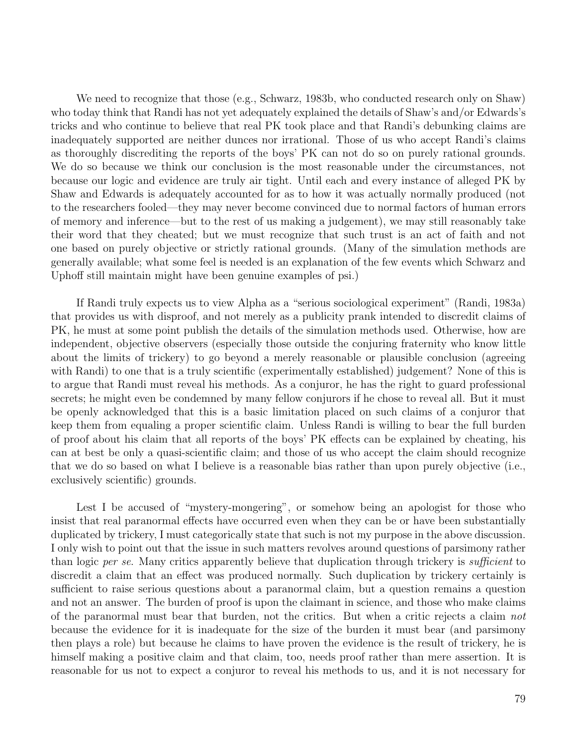We need to recognize that those (e.g., Schwarz, 1983b, who conducted research only on Shaw) who today think that Randi has not yet adequately explained the details of Shaw's and/or Edwards's tricks and who continue to believe that real PK took place and that Randi's debunking claims are inadequately supported are neither dunces nor irrational. Those of us who accept Randi's claims as thoroughly discrediting the reports of the boys' PK can not do so on purely rational grounds. We do so because we think our conclusion is the most reasonable under the circumstances, not because our logic and evidence are truly air tight. Until each and every instance of alleged PK by Shaw and Edwards is adequately accounted for as to how it was actually normally produced (not to the researchers fooled—they may never become convinced due to normal factors of human errors of memory and inference—but to the rest of us making a judgement), we may still reasonably take their word that they cheated; but we must recognize that such trust is an act of faith and not one based on purely objective or strictly rational grounds. (Many of the simulation methods are generally available; what some feel is needed is an explanation of the few events which Schwarz and Uphoff still maintain might have been genuine examples of psi.)

If Randi truly expects us to view Alpha as a "serious sociological experiment" (Randi, 1983a) that provides us with disproof, and not merely as a publicity prank intended to discredit claims of PK, he must at some point publish the details of the simulation methods used. Otherwise, how are independent, objective observers (especially those outside the conjuring fraternity who know little about the limits of trickery) to go beyond a merely reasonable or plausible conclusion (agreeing with Randi) to one that is a truly scientific (experimentally established) judgement? None of this is to argue that Randi must reveal his methods. As a conjuror, he has the right to guard professional secrets; he might even be condemned by many fellow conjurors if he chose to reveal all. But it must be openly acknowledged that this is a basic limitation placed on such claims of a conjuror that keep them from equaling a proper scientific claim. Unless Randi is willing to bear the full burden of proof about his claim that all reports of the boys' PK effects can be explained by cheating, his can at best be only a quasi-scientific claim; and those of us who accept the claim should recognize that we do so based on what I believe is a reasonable bias rather than upon purely objective (i.e., exclusively scientific) grounds.

Lest I be accused of "mystery-mongering", or somehow being an apologist for those who insist that real paranormal effects have occurred even when they can be or have been substantially duplicated by trickery, I must categorically state that such is not my purpose in the above discussion. I only wish to point out that the issue in such matters revolves around questions of parsimony rather than logic per se. Many critics apparently believe that duplication through trickery is sufficient to discredit a claim that an effect was produced normally. Such duplication by trickery certainly is sufficient to raise serious questions about a paranormal claim, but a question remains a question and not an answer. The burden of proof is upon the claimant in science, and those who make claims of the paranormal must bear that burden, not the critics. But when a critic rejects a claim not because the evidence for it is inadequate for the size of the burden it must bear (and parsimony then plays a role) but because he claims to have proven the evidence is the result of trickery, he is himself making a positive claim and that claim, too, needs proof rather than mere assertion. It is reasonable for us not to expect a conjuror to reveal his methods to us, and it is not necessary for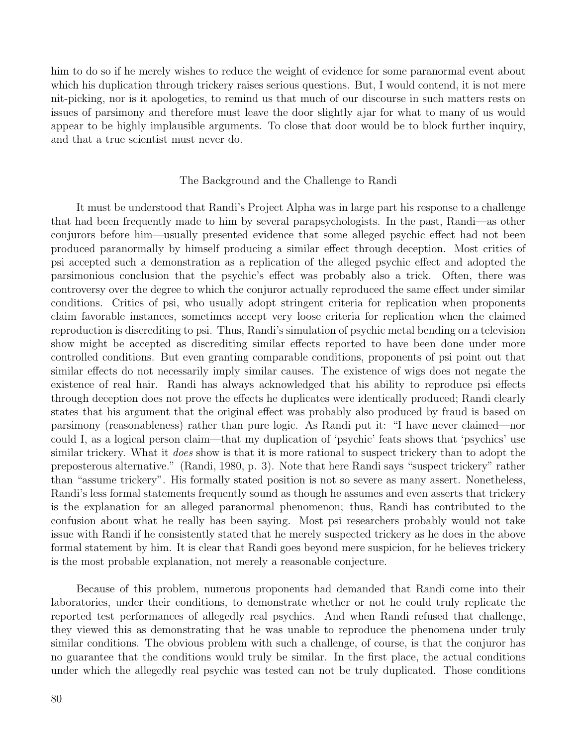him to do so if he merely wishes to reduce the weight of evidence for some paranormal event about which his duplication through trickery raises serious questions. But, I would contend, it is not mere nit-picking, nor is it apologetics, to remind us that much of our discourse in such matters rests on issues of parsimony and therefore must leave the door slightly ajar for what to many of us would appear to be highly implausible arguments. To close that door would be to block further inquiry, and that a true scientist must never do.

# The Background and the Challenge to Randi

It must be understood that Randi's Project Alpha was in large part his response to a challenge that had been frequently made to him by several parapsychologists. In the past, Randi—as other conjurors before him—usually presented evidence that some alleged psychic effect had not been produced paranormally by himself producing a similar effect through deception. Most critics of psi accepted such a demonstration as a replication of the alleged psychic effect and adopted the parsimonious conclusion that the psychic's effect was probably also a trick. Often, there was controversy over the degree to which the conjuror actually reproduced the same effect under similar conditions. Critics of psi, who usually adopt stringent criteria for replication when proponents claim favorable instances, sometimes accept very loose criteria for replication when the claimed reproduction is discrediting to psi. Thus, Randi's simulation of psychic metal bending on a television show might be accepted as discrediting similar effects reported to have been done under more controlled conditions. But even granting comparable conditions, proponents of psi point out that similar effects do not necessarily imply similar causes. The existence of wigs does not negate the existence of real hair. Randi has always acknowledged that his ability to reproduce psi effects through deception does not prove the effects he duplicates were identically produced; Randi clearly states that his argument that the original effect was probably also produced by fraud is based on parsimony (reasonableness) rather than pure logic. As Randi put it: "I have never claimed—nor could I, as a logical person claim—that my duplication of 'psychic' feats shows that 'psychics' use similar trickery. What it *does* show is that it is more rational to suspect trickery than to adopt the preposterous alternative." (Randi, 1980, p. 3). Note that here Randi says "suspect trickery" rather than "assume trickery". His formally stated position is not so severe as many assert. Nonetheless, Randi's less formal statements frequently sound as though he assumes and even asserts that trickery is the explanation for an alleged paranormal phenomenon; thus, Randi has contributed to the confusion about what he really has been saying. Most psi researchers probably would not take issue with Randi if he consistently stated that he merely suspected trickery as he does in the above formal statement by him. It is clear that Randi goes beyond mere suspicion, for he believes trickery is the most probable explanation, not merely a reasonable conjecture.

Because of this problem, numerous proponents had demanded that Randi come into their laboratories, under their conditions, to demonstrate whether or not he could truly replicate the reported test performances of allegedly real psychics. And when Randi refused that challenge, they viewed this as demonstrating that he was unable to reproduce the phenomena under truly similar conditions. The obvious problem with such a challenge, of course, is that the conjuror has no guarantee that the conditions would truly be similar. In the first place, the actual conditions under which the allegedly real psychic was tested can not be truly duplicated. Those conditions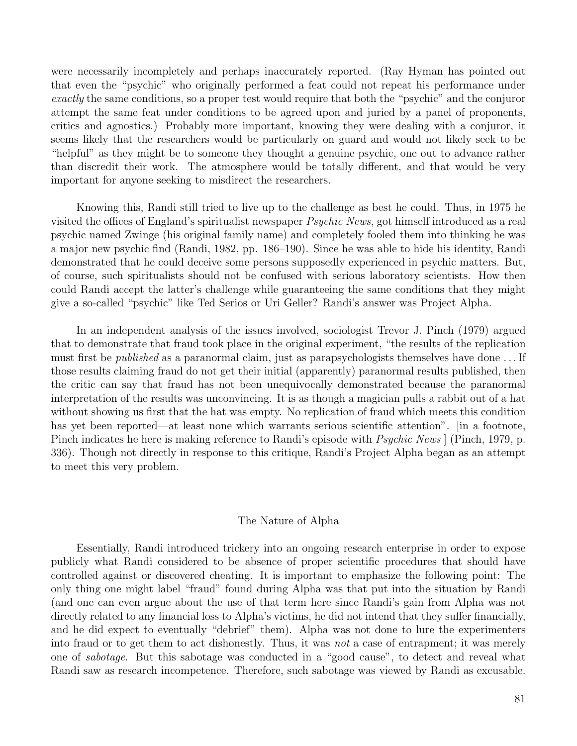were necessarily incompletely and perhaps inaccurately reported. (Ray Hyman has pointed out that even the "psychic" who originally performed a feat could not repeat his performance under exactly the same conditions, so a proper test would require that both the "psychic" and the conjuror attempt the same feat under conditions to be agreed upon and juried by a panel of proponents, critics and agnostics.) Probably more important, knowing they were dealing with a conjuror, it seems likely that the researchers would be particularly on guard and would not likely seek to be "helpful" as they might be to someone they thought a genuine psychic, one out to advance rather than discredit their work. The atmosphere would be totally different, and that would be very important for anyone seeking to misdirect the researchers.

Knowing this, Randi still tried to live up to the challenge as best he could. Thus, in 1975 he visited the offices of England's spiritualist newspaper Psychic News, got himself introduced as a real psychic named Zwinge (his original family name) and completely fooled them into thinking he was a major new psychic find (Randi, 1982, pp. 186–190). Since he was able to hide his identity, Randi demonstrated that he could deceive some persons supposedly experienced in psychic matters. But, of course, such spiritualists should not be confused with serious laboratory scientists. How then could Randi accept the latter's challenge while guaranteeing the same conditions that they might give a so-called "psychic" like Ted Serios or Uri Geller? Randi's answer was Project Alpha.

In an independent analysis of the issues involved, sociologist Trevor J. Pinch (1979) argued that to demonstrate that fraud took place in the original experiment, "the results of the replication must first be published as a paranormal claim, just as parapsychologists themselves have done . . . If those results claiming fraud do not get their initial (apparently) paranormal results published, then the critic can say that fraud has not been unequivocally demonstrated because the paranormal interpretation of the results was unconvincing. It is as though a magician pulls a rabbit out of a hat without showing us first that the hat was empty. No replication of fraud which meets this condition has yet been reported—at least none which warrants serious scientific attention". [in a footnote, Pinch indicates he here is making reference to Randi's episode with *Psychic News* | (Pinch, 1979, p. 336). Though not directly in response to this critique, Randi's Project Alpha began as an attempt to meet this very problem.

# The Nature of Alpha

Essentially, Randi introduced trickery into an ongoing research enterprise in order to expose publicly what Randi considered to be absence of proper scientific procedures that should have controlled against or discovered cheating. It is important to emphasize the following point: The only thing one might label "fraud" found during Alpha was that put into the situation by Randi (and one can even argue about the use of that term here since Randi's gain from Alpha was not directly related to any financial loss to Alpha's victims, he did not intend that they suffer financially, and he did expect to eventually "debrief" them). Alpha was not done to lure the experimenters into fraud or to get them to act dishonestly. Thus, it was not a case of entrapment; it was merely one of sabotage. But this sabotage was conducted in a "good cause", to detect and reveal what Randi saw as research incompetence. Therefore, such sabotage was viewed by Randi as excusable.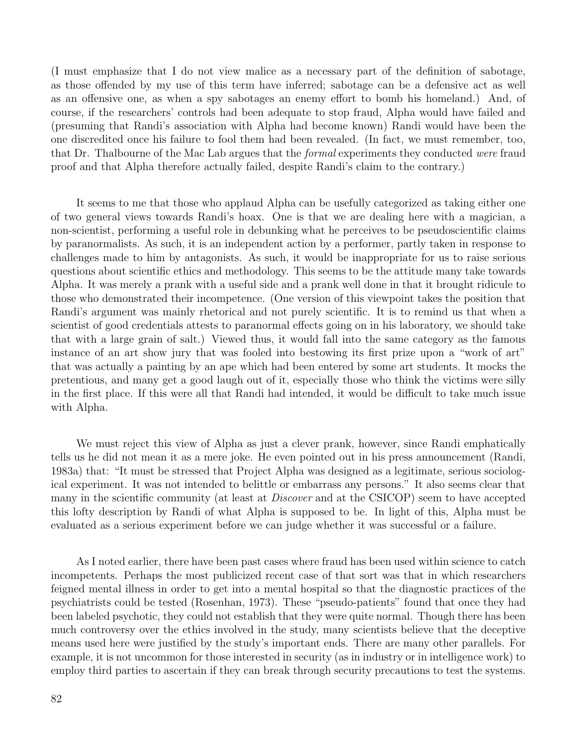(I must emphasize that I do not view malice as a necessary part of the definition of sabotage, as those offended by my use of this term have inferred; sabotage can be a defensive act as well as an offensive one, as when a spy sabotages an enemy effort to bomb his homeland.) And, of course, if the researchers' controls had been adequate to stop fraud, Alpha would have failed and (presuming that Randi's association with Alpha had become known) Randi would have been the one discredited once his failure to fool them had been revealed. (In fact, we must remember, too, that Dr. Thalbourne of the Mac Lab argues that the *formal* experiments they conducted were fraud proof and that Alpha therefore actually failed, despite Randi's claim to the contrary.)

It seems to me that those who applaud Alpha can be usefully categorized as taking either one of two general views towards Randi's hoax. One is that we are dealing here with a magician, a non-scientist, performing a useful role in debunking what he perceives to be pseudoscientific claims by paranormalists. As such, it is an independent action by a performer, partly taken in response to challenges made to him by antagonists. As such, it would be inappropriate for us to raise serious questions about scientific ethics and methodology. This seems to be the attitude many take towards Alpha. It was merely a prank with a useful side and a prank well done in that it brought ridicule to those who demonstrated their incompetence. (One version of this viewpoint takes the position that Randi's argument was mainly rhetorical and not purely scientific. It is to remind us that when a scientist of good credentials attests to paranormal effects going on in his laboratory, we should take that with a large grain of salt.) Viewed thus, it would fall into the same category as the famous instance of an art show jury that was fooled into bestowing its first prize upon a "work of art" that was actually a painting by an ape which had been entered by some art students. It mocks the pretentious, and many get a good laugh out of it, especially those who think the victims were silly in the first place. If this were all that Randi had intended, it would be difficult to take much issue with Alpha.

We must reject this view of Alpha as just a clever prank, however, since Randi emphatically tells us he did not mean it as a mere joke. He even pointed out in his press announcement (Randi, 1983a) that: "It must be stressed that Project Alpha was designed as a legitimate, serious sociological experiment. It was not intended to belittle or embarrass any persons." It also seems clear that many in the scientific community (at least at *Discover* and at the CSICOP) seem to have accepted this lofty description by Randi of what Alpha is supposed to be. In light of this, Alpha must be evaluated as a serious experiment before we can judge whether it was successful or a failure.

As I noted earlier, there have been past cases where fraud has been used within science to catch incompetents. Perhaps the most publicized recent case of that sort was that in which researchers feigned mental illness in order to get into a mental hospital so that the diagnostic practices of the psychiatrists could be tested (Rosenhan, 1973). These "pseudo-patients" found that once they had been labeled psychotic, they could not establish that they were quite normal. Though there has been much controversy over the ethics involved in the study, many scientists believe that the deceptive means used here were justified by the study's important ends. There are many other parallels. For example, it is not uncommon for those interested in security (as in industry or in intelligence work) to employ third parties to ascertain if they can break through security precautions to test the systems.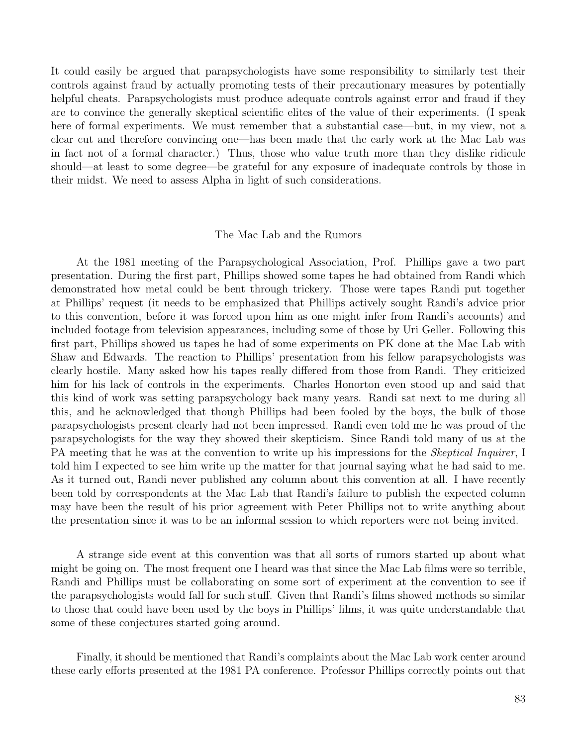It could easily be argued that parapsychologists have some responsibility to similarly test their controls against fraud by actually promoting tests of their precautionary measures by potentially helpful cheats. Parapsychologists must produce adequate controls against error and fraud if they are to convince the generally skeptical scientific elites of the value of their experiments. (I speak here of formal experiments. We must remember that a substantial case—but, in my view, not a clear cut and therefore convincing one—has been made that the early work at the Mac Lab was in fact not of a formal character.) Thus, those who value truth more than they dislike ridicule should—at least to some degree—be grateful for any exposure of inadequate controls by those in their midst. We need to assess Alpha in light of such considerations.

#### The Mac Lab and the Rumors

At the 1981 meeting of the Parapsychological Association, Prof. Phillips gave a two part presentation. During the first part, Phillips showed some tapes he had obtained from Randi which demonstrated how metal could be bent through trickery. Those were tapes Randi put together at Phillips' request (it needs to be emphasized that Phillips actively sought Randi's advice prior to this convention, before it was forced upon him as one might infer from Randi's accounts) and included footage from television appearances, including some of those by Uri Geller. Following this first part, Phillips showed us tapes he had of some experiments on PK done at the Mac Lab with Shaw and Edwards. The reaction to Phillips' presentation from his fellow parapsychologists was clearly hostile. Many asked how his tapes really differed from those from Randi. They criticized him for his lack of controls in the experiments. Charles Honorton even stood up and said that this kind of work was setting parapsychology back many years. Randi sat next to me during all this, and he acknowledged that though Phillips had been fooled by the boys, the bulk of those parapsychologists present clearly had not been impressed. Randi even told me he was proud of the parapsychologists for the way they showed their skepticism. Since Randi told many of us at the PA meeting that he was at the convention to write up his impressions for the *Skeptical Inquirer*, I told him I expected to see him write up the matter for that journal saying what he had said to me. As it turned out, Randi never published any column about this convention at all. I have recently been told by correspondents at the Mac Lab that Randi's failure to publish the expected column may have been the result of his prior agreement with Peter Phillips not to write anything about the presentation since it was to be an informal session to which reporters were not being invited.

A strange side event at this convention was that all sorts of rumors started up about what might be going on. The most frequent one I heard was that since the Mac Lab films were so terrible, Randi and Phillips must be collaborating on some sort of experiment at the convention to see if the parapsychologists would fall for such stuff. Given that Randi's films showed methods so similar to those that could have been used by the boys in Phillips' films, it was quite understandable that some of these conjectures started going around.

Finally, it should be mentioned that Randi's complaints about the Mac Lab work center around these early efforts presented at the 1981 PA conference. Professor Phillips correctly points out that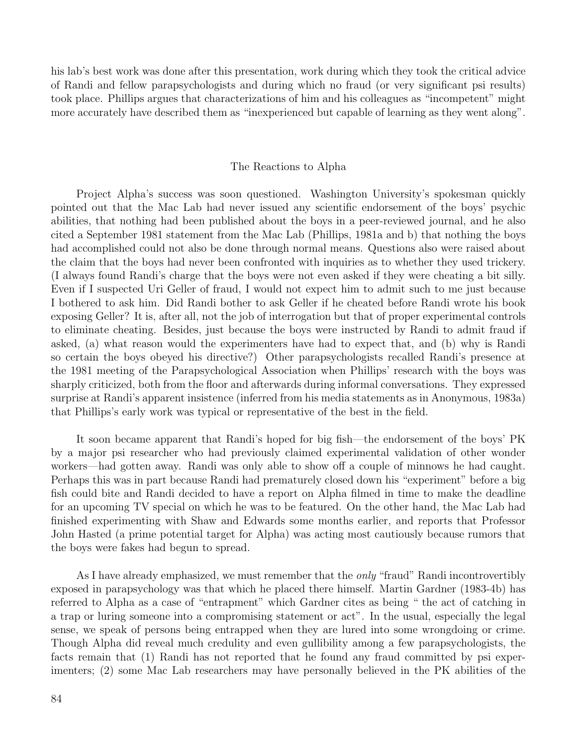his lab's best work was done after this presentation, work during which they took the critical advice of Randi and fellow parapsychologists and during which no fraud (or very significant psi results) took place. Phillips argues that characterizations of him and his colleagues as "incompetent" might more accurately have described them as "inexperienced but capable of learning as they went along".

# The Reactions to Alpha

Project Alpha's success was soon questioned. Washington University's spokesman quickly pointed out that the Mac Lab had never issued any scientific endorsement of the boys' psychic abilities, that nothing had been published about the boys in a peer-reviewed journal, and he also cited a September 1981 statement from the Mac Lab (Phillips, 1981a and b) that nothing the boys had accomplished could not also be done through normal means. Questions also were raised about the claim that the boys had never been confronted with inquiries as to whether they used trickery. (I always found Randi's charge that the boys were not even asked if they were cheating a bit silly. Even if I suspected Uri Geller of fraud, I would not expect him to admit such to me just because I bothered to ask him. Did Randi bother to ask Geller if he cheated before Randi wrote his book exposing Geller? It is, after all, not the job of interrogation but that of proper experimental controls to eliminate cheating. Besides, just because the boys were instructed by Randi to admit fraud if asked, (a) what reason would the experimenters have had to expect that, and (b) why is Randi so certain the boys obeyed his directive?) Other parapsychologists recalled Randi's presence at the 1981 meeting of the Parapsychological Association when Phillips' research with the boys was sharply criticized, both from the floor and afterwards during informal conversations. They expressed surprise at Randi's apparent insistence (inferred from his media statements as in Anonymous, 1983a) that Phillips's early work was typical or representative of the best in the field.

It soon became apparent that Randi's hoped for big fish—the endorsement of the boys' PK by a major psi researcher who had previously claimed experimental validation of other wonder workers—had gotten away. Randi was only able to show off a couple of minnows he had caught. Perhaps this was in part because Randi had prematurely closed down his "experiment" before a big fish could bite and Randi decided to have a report on Alpha filmed in time to make the deadline for an upcoming TV special on which he was to be featured. On the other hand, the Mac Lab had finished experimenting with Shaw and Edwards some months earlier, and reports that Professor John Hasted (a prime potential target for Alpha) was acting most cautiously because rumors that the boys were fakes had begun to spread.

As I have already emphasized, we must remember that the *only* "fraud" Randi incontrovertibly exposed in parapsychology was that which he placed there himself. Martin Gardner (1983-4b) has referred to Alpha as a case of "entrapment" which Gardner cites as being " the act of catching in a trap or luring someone into a compromising statement or act". In the usual, especially the legal sense, we speak of persons being entrapped when they are lured into some wrongdoing or crime. Though Alpha did reveal much credulity and even gullibility among a few parapsychologists, the facts remain that (1) Randi has not reported that he found any fraud committed by psi experimenters; (2) some Mac Lab researchers may have personally believed in the PK abilities of the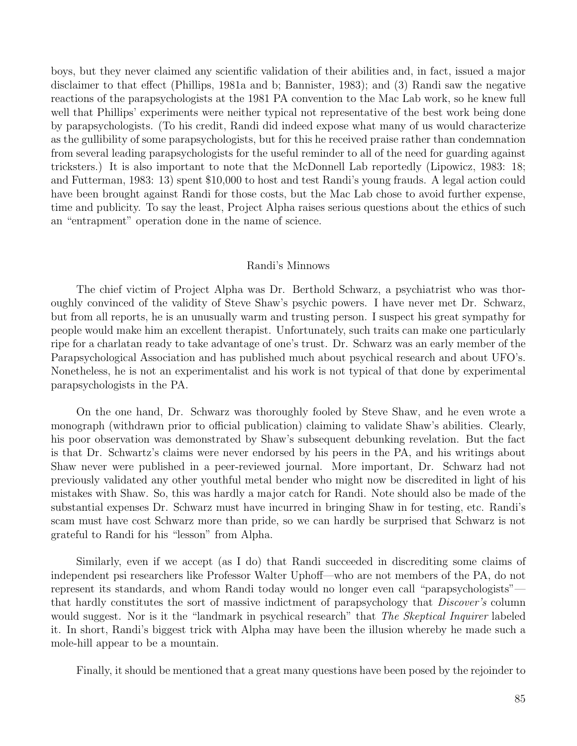boys, but they never claimed any scientific validation of their abilities and, in fact, issued a major disclaimer to that effect (Phillips, 1981a and b; Bannister, 1983); and (3) Randi saw the negative reactions of the parapsychologists at the 1981 PA convention to the Mac Lab work, so he knew full well that Phillips' experiments were neither typical not representative of the best work being done by parapsychologists. (To his credit, Randi did indeed expose what many of us would characterize as the gullibility of some parapsychologists, but for this he received praise rather than condemnation from several leading parapsychologists for the useful reminder to all of the need for guarding against tricksters.) It is also important to note that the McDonnell Lab reportedly (Lipowicz, 1983: 18; and Futterman, 1983: 13) spent \$10,000 to host and test Randi's young frauds. A legal action could have been brought against Randi for those costs, but the Mac Lab chose to avoid further expense, time and publicity. To say the least, Project Alpha raises serious questions about the ethics of such an "entrapment" operation done in the name of science.

# Randi's Minnows

The chief victim of Project Alpha was Dr. Berthold Schwarz, a psychiatrist who was thoroughly convinced of the validity of Steve Shaw's psychic powers. I have never met Dr. Schwarz, but from all reports, he is an unusually warm and trusting person. I suspect his great sympathy for people would make him an excellent therapist. Unfortunately, such traits can make one particularly ripe for a charlatan ready to take advantage of one's trust. Dr. Schwarz was an early member of the Parapsychological Association and has published much about psychical research and about UFO's. Nonetheless, he is not an experimentalist and his work is not typical of that done by experimental parapsychologists in the PA.

On the one hand, Dr. Schwarz was thoroughly fooled by Steve Shaw, and he even wrote a monograph (withdrawn prior to official publication) claiming to validate Shaw's abilities. Clearly, his poor observation was demonstrated by Shaw's subsequent debunking revelation. But the fact is that Dr. Schwartz's claims were never endorsed by his peers in the PA, and his writings about Shaw never were published in a peer-reviewed journal. More important, Dr. Schwarz had not previously validated any other youthful metal bender who might now be discredited in light of his mistakes with Shaw. So, this was hardly a major catch for Randi. Note should also be made of the substantial expenses Dr. Schwarz must have incurred in bringing Shaw in for testing, etc. Randi's scam must have cost Schwarz more than pride, so we can hardly be surprised that Schwarz is not grateful to Randi for his "lesson" from Alpha.

Similarly, even if we accept (as I do) that Randi succeeded in discrediting some claims of independent psi researchers like Professor Walter Uphoff—who are not members of the PA, do not represent its standards, and whom Randi today would no longer even call "parapsychologists" that hardly constitutes the sort of massive indictment of parapsychology that Discover's column would suggest. Nor is it the "landmark in psychical research" that The Skeptical Inquirer labeled it. In short, Randi's biggest trick with Alpha may have been the illusion whereby he made such a mole-hill appear to be a mountain.

Finally, it should be mentioned that a great many questions have been posed by the rejoinder to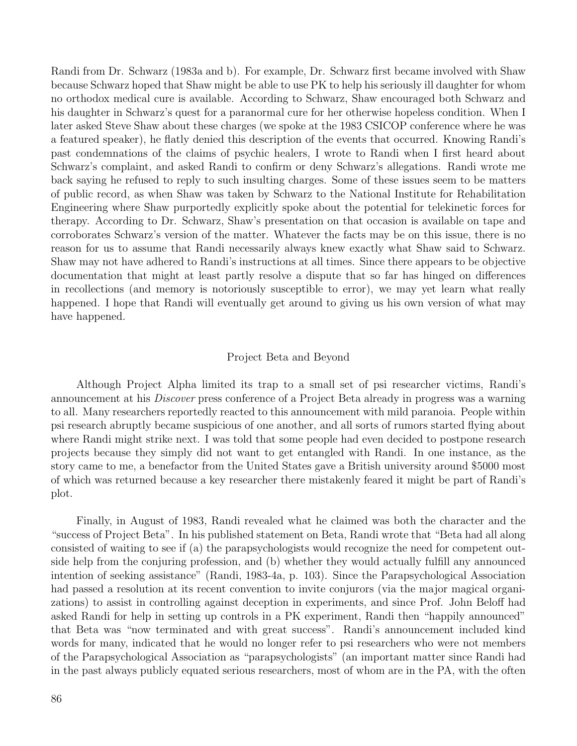Randi from Dr. Schwarz (1983a and b). For example, Dr. Schwarz first became involved with Shaw because Schwarz hoped that Shaw might be able to use PK to help his seriously ill daughter for whom no orthodox medical cure is available. According to Schwarz, Shaw encouraged both Schwarz and his daughter in Schwarz's quest for a paranormal cure for her otherwise hopeless condition. When I later asked Steve Shaw about these charges (we spoke at the 1983 CSICOP conference where he was a featured speaker), he flatly denied this description of the events that occurred. Knowing Randi's past condemnations of the claims of psychic healers, I wrote to Randi when I first heard about Schwarz's complaint, and asked Randi to confirm or deny Schwarz's allegations. Randi wrote me back saying he refused to reply to such insulting charges. Some of these issues seem to be matters of public record, as when Shaw was taken by Schwarz to the National Institute for Rehabilitation Engineering where Shaw purportedly explicitly spoke about the potential for telekinetic forces for therapy. According to Dr. Schwarz, Shaw's presentation on that occasion is available on tape and corroborates Schwarz's version of the matter. Whatever the facts may be on this issue, there is no reason for us to assume that Randi necessarily always knew exactly what Shaw said to Schwarz. Shaw may not have adhered to Randi's instructions at all times. Since there appears to be objective documentation that might at least partly resolve a dispute that so far has hinged on differences in recollections (and memory is notoriously susceptible to error), we may yet learn what really happened. I hope that Randi will eventually get around to giving us his own version of what may have happened.

# Project Beta and Beyond

Although Project Alpha limited its trap to a small set of psi researcher victims, Randi's announcement at his Discover press conference of a Project Beta already in progress was a warning to all. Many researchers reportedly reacted to this announcement with mild paranoia. People within psi research abruptly became suspicious of one another, and all sorts of rumors started flying about where Randi might strike next. I was told that some people had even decided to postpone research projects because they simply did not want to get entangled with Randi. In one instance, as the story came to me, a benefactor from the United States gave a British university around \$5000 most of which was returned because a key researcher there mistakenly feared it might be part of Randi's plot.

Finally, in August of 1983, Randi revealed what he claimed was both the character and the "success of Project Beta". In his published statement on Beta, Randi wrote that "Beta had all along consisted of waiting to see if (a) the parapsychologists would recognize the need for competent outside help from the conjuring profession, and (b) whether they would actually fulfill any announced intention of seeking assistance" (Randi, 1983-4a, p. 103). Since the Parapsychological Association had passed a resolution at its recent convention to invite conjurors (via the major magical organizations) to assist in controlling against deception in experiments, and since Prof. John Beloff had asked Randi for help in setting up controls in a PK experiment, Randi then "happily announced" that Beta was "now terminated and with great success". Randi's announcement included kind words for many, indicated that he would no longer refer to psi researchers who were not members of the Parapsychological Association as "parapsychologists" (an important matter since Randi had in the past always publicly equated serious researchers, most of whom are in the PA, with the often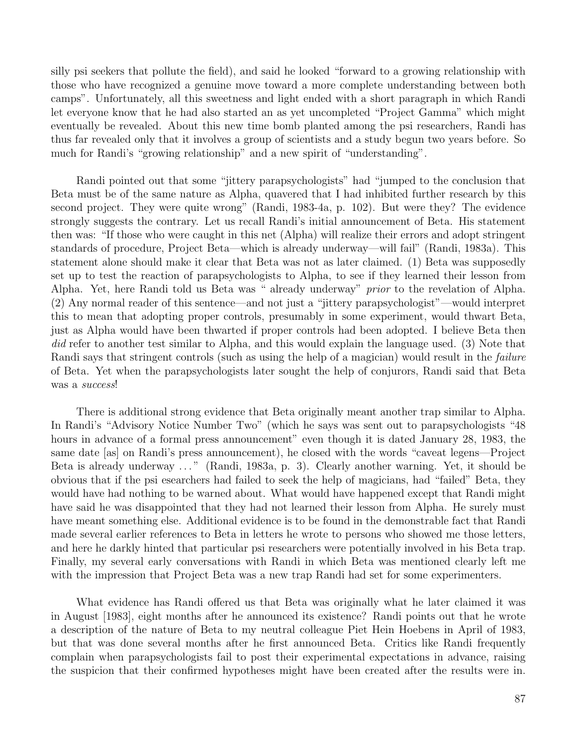silly psi seekers that pollute the field), and said he looked "forward to a growing relationship with those who have recognized a genuine move toward a more complete understanding between both camps". Unfortunately, all this sweetness and light ended with a short paragraph in which Randi let everyone know that he had also started an as yet uncompleted "Project Gamma" which might eventually be revealed. About this new time bomb planted among the psi researchers, Randi has thus far revealed only that it involves a group of scientists and a study begun two years before. So much for Randi's "growing relationship" and a new spirit of "understanding".

Randi pointed out that some "jittery parapsychologists" had "jumped to the conclusion that Beta must be of the same nature as Alpha, quavered that I had inhibited further research by this second project. They were quite wrong" (Randi, 1983-4a, p. 102). But were they? The evidence strongly suggests the contrary. Let us recall Randi's initial announcement of Beta. His statement then was: "If those who were caught in this net (Alpha) will realize their errors and adopt stringent standards of procedure, Project Beta—which is already underway—will fail" (Randi, 1983a). This statement alone should make it clear that Beta was not as later claimed. (1) Beta was supposedly set up to test the reaction of parapsychologists to Alpha, to see if they learned their lesson from Alpha. Yet, here Randi told us Beta was " already underway" prior to the revelation of Alpha. (2) Any normal reader of this sentence—and not just a "jittery parapsychologist"—would interpret this to mean that adopting proper controls, presumably in some experiment, would thwart Beta, just as Alpha would have been thwarted if proper controls had been adopted. I believe Beta then did refer to another test similar to Alpha, and this would explain the language used. (3) Note that Randi says that stringent controls (such as using the help of a magician) would result in the failure of Beta. Yet when the parapsychologists later sought the help of conjurors, Randi said that Beta was a success!

There is additional strong evidence that Beta originally meant another trap similar to Alpha. In Randi's "Advisory Notice Number Two" (which he says was sent out to parapsychologists "48 hours in advance of a formal press announcement" even though it is dated January 28, 1983, the same date [as] on Randi's press announcement), he closed with the words "caveat legens—Project Beta is already underway ..." (Randi, 1983a, p. 3). Clearly another warning. Yet, it should be obvious that if the psi esearchers had failed to seek the help of magicians, had "failed" Beta, they would have had nothing to be warned about. What would have happened except that Randi might have said he was disappointed that they had not learned their lesson from Alpha. He surely must have meant something else. Additional evidence is to be found in the demonstrable fact that Randi made several earlier references to Beta in letters he wrote to persons who showed me those letters, and here he darkly hinted that particular psi researchers were potentially involved in his Beta trap. Finally, my several early conversations with Randi in which Beta was mentioned clearly left me with the impression that Project Beta was a new trap Randi had set for some experimenters.

What evidence has Randi offered us that Beta was originally what he later claimed it was in August [1983], eight months after he announced its existence? Randi points out that he wrote a description of the nature of Beta to my neutral colleague Piet Hein Hoebens in April of 1983, but that was done several months after he first announced Beta. Critics like Randi frequently complain when parapsychologists fail to post their experimental expectations in advance, raising the suspicion that their confirmed hypotheses might have been created after the results were in.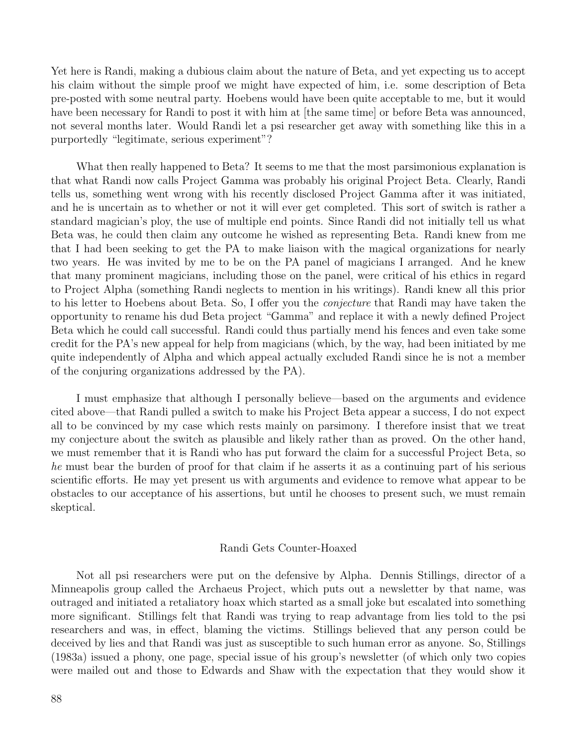Yet here is Randi, making a dubious claim about the nature of Beta, and yet expecting us to accept his claim without the simple proof we might have expected of him, i.e. some description of Beta pre-posted with some neutral party. Hoebens would have been quite acceptable to me, but it would have been necessary for Randi to post it with him at [the same time] or before Beta was announced, not several months later. Would Randi let a psi researcher get away with something like this in a purportedly "legitimate, serious experiment"?

What then really happened to Beta? It seems to me that the most parsimonious explanation is that what Randi now calls Project Gamma was probably his original Project Beta. Clearly, Randi tells us, something went wrong with his recently disclosed Project Gamma after it was initiated, and he is uncertain as to whether or not it will ever get completed. This sort of switch is rather a standard magician's ploy, the use of multiple end points. Since Randi did not initially tell us what Beta was, he could then claim any outcome he wished as representing Beta. Randi knew from me that I had been seeking to get the PA to make liaison with the magical organizations for nearly two years. He was invited by me to be on the PA panel of magicians I arranged. And he knew that many prominent magicians, including those on the panel, were critical of his ethics in regard to Project Alpha (something Randi neglects to mention in his writings). Randi knew all this prior to his letter to Hoebens about Beta. So, I offer you the conjecture that Randi may have taken the opportunity to rename his dud Beta project "Gamma" and replace it with a newly defined Project Beta which he could call successful. Randi could thus partially mend his fences and even take some credit for the PA's new appeal for help from magicians (which, by the way, had been initiated by me quite independently of Alpha and which appeal actually excluded Randi since he is not a member of the conjuring organizations addressed by the PA).

I must emphasize that although I personally believe—based on the arguments and evidence cited above—that Randi pulled a switch to make his Project Beta appear a success, I do not expect all to be convinced by my case which rests mainly on parsimony. I therefore insist that we treat my conjecture about the switch as plausible and likely rather than as proved. On the other hand, we must remember that it is Randi who has put forward the claim for a successful Project Beta, so he must bear the burden of proof for that claim if he asserts it as a continuing part of his serious scientific efforts. He may yet present us with arguments and evidence to remove what appear to be obstacles to our acceptance of his assertions, but until he chooses to present such, we must remain skeptical.

# Randi Gets Counter-Hoaxed

Not all psi researchers were put on the defensive by Alpha. Dennis Stillings, director of a Minneapolis group called the Archaeus Project, which puts out a newsletter by that name, was outraged and initiated a retaliatory hoax which started as a small joke but escalated into something more significant. Stillings felt that Randi was trying to reap advantage from lies told to the psi researchers and was, in effect, blaming the victims. Stillings believed that any person could be deceived by lies and that Randi was just as susceptible to such human error as anyone. So, Stillings (1983a) issued a phony, one page, special issue of his group's newsletter (of which only two copies were mailed out and those to Edwards and Shaw with the expectation that they would show it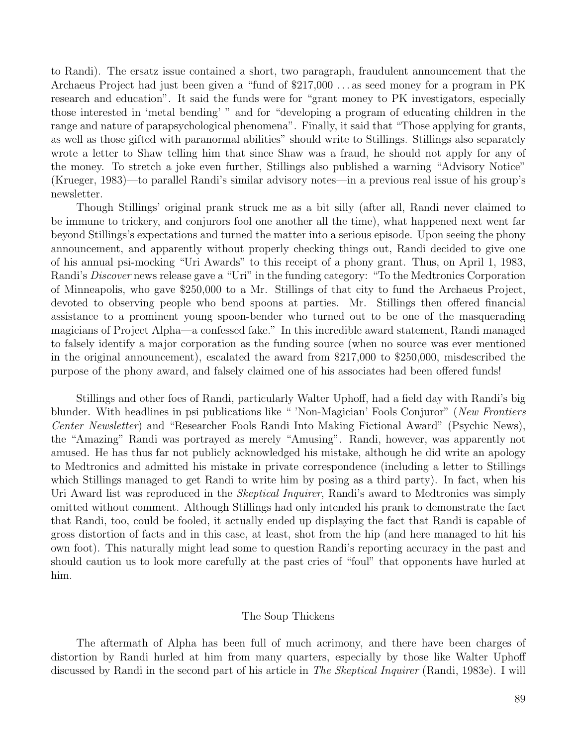to Randi). The ersatz issue contained a short, two paragraph, fraudulent announcement that the Archaeus Project had just been given a "fund of \$217,000 . . . as seed money for a program in PK research and education". It said the funds were for "grant money to PK investigators, especially those interested in 'metal bending' " and for "developing a program of educating children in the range and nature of parapsychological phenomena". Finally, it said that "Those applying for grants, as well as those gifted with paranormal abilities" should write to Stillings. Stillings also separately wrote a letter to Shaw telling him that since Shaw was a fraud, he should not apply for any of the money. To stretch a joke even further, Stillings also published a warning "Advisory Notice" (Krueger, 1983)—to parallel Randi's similar advisory notes—in a previous real issue of his group's newsletter.

Though Stillings' original prank struck me as a bit silly (after all, Randi never claimed to be immune to trickery, and conjurors fool one another all the time), what happened next went far beyond Stillings's expectations and turned the matter into a serious episode. Upon seeing the phony announcement, and apparently without properly checking things out, Randi decided to give one of his annual psi-mocking "Uri Awards" to this receipt of a phony grant. Thus, on April 1, 1983, Randi's Discover news release gave a "Uri" in the funding category: "To the Medtronics Corporation of Minneapolis, who gave \$250,000 to a Mr. Stillings of that city to fund the Archaeus Project, devoted to observing people who bend spoons at parties. Mr. Stillings then offered financial assistance to a prominent young spoon-bender who turned out to be one of the masquerading magicians of Project Alpha—a confessed fake." In this incredible award statement, Randi managed to falsely identify a major corporation as the funding source (when no source was ever mentioned in the original announcement), escalated the award from \$217,000 to \$250,000, misdescribed the purpose of the phony award, and falsely claimed one of his associates had been offered funds!

Stillings and other foes of Randi, particularly Walter Uphoff, had a field day with Randi's big blunder. With headlines in psi publications like " 'Non-Magician' Fools Conjuror" (New Frontiers Center Newsletter) and "Researcher Fools Randi Into Making Fictional Award" (Psychic News), the "Amazing" Randi was portrayed as merely "Amusing". Randi, however, was apparently not amused. He has thus far not publicly acknowledged his mistake, although he did write an apology to Medtronics and admitted his mistake in private correspondence (including a letter to Stillings which Stillings managed to get Randi to write him by posing as a third party). In fact, when his Uri Award list was reproduced in the *Skeptical Inquirer*, Randi's award to Medtronics was simply omitted without comment. Although Stillings had only intended his prank to demonstrate the fact that Randi, too, could be fooled, it actually ended up displaying the fact that Randi is capable of gross distortion of facts and in this case, at least, shot from the hip (and here managed to hit his own foot). This naturally might lead some to question Randi's reporting accuracy in the past and should caution us to look more carefully at the past cries of "foul" that opponents have hurled at him.

# The Soup Thickens

The aftermath of Alpha has been full of much acrimony, and there have been charges of distortion by Randi hurled at him from many quarters, especially by those like Walter Uphoff discussed by Randi in the second part of his article in The Skeptical Inquirer (Randi, 1983e). I will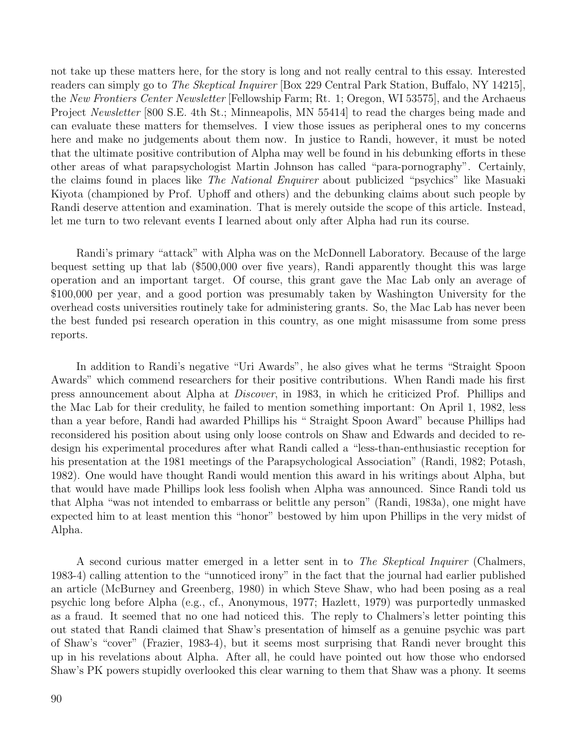not take up these matters here, for the story is long and not really central to this essay. Interested readers can simply go to The Skeptical Inquirer [Box 229 Central Park Station, Buffalo, NY 14215], the New Frontiers Center Newsletter [Fellowship Farm; Rt. 1; Oregon, WI 53575], and the Archaeus Project *Newsletter* [800 S.E. 4th St.; Minneapolis, MN 55414] to read the charges being made and can evaluate these matters for themselves. I view those issues as peripheral ones to my concerns here and make no judgements about them now. In justice to Randi, however, it must be noted that the ultimate positive contribution of Alpha may well be found in his debunking efforts in these other areas of what parapsychologist Martin Johnson has called "para-pornography". Certainly, the claims found in places like The National Enquirer about publicized "psychics" like Masuaki Kiyota (championed by Prof. Uphoff and others) and the debunking claims about such people by Randi deserve attention and examination. That is merely outside the scope of this article. Instead, let me turn to two relevant events I learned about only after Alpha had run its course.

Randi's primary "attack" with Alpha was on the McDonnell Laboratory. Because of the large bequest setting up that lab (\$500,000 over five years), Randi apparently thought this was large operation and an important target. Of course, this grant gave the Mac Lab only an average of \$100,000 per year, and a good portion was presumably taken by Washington University for the overhead costs universities routinely take for administering grants. So, the Mac Lab has never been the best funded psi research operation in this country, as one might misassume from some press reports.

In addition to Randi's negative "Uri Awards", he also gives what he terms "Straight Spoon Awards" which commend researchers for their positive contributions. When Randi made his first press announcement about Alpha at Discover, in 1983, in which he criticized Prof. Phillips and the Mac Lab for their credulity, he failed to mention something important: On April 1, 1982, less than a year before, Randi had awarded Phillips his " Straight Spoon Award" because Phillips had reconsidered his position about using only loose controls on Shaw and Edwards and decided to redesign his experimental procedures after what Randi called a "less-than-enthusiastic reception for his presentation at the 1981 meetings of the Parapsychological Association" (Randi, 1982; Potash, 1982). One would have thought Randi would mention this award in his writings about Alpha, but that would have made Phillips look less foolish when Alpha was announced. Since Randi told us that Alpha "was not intended to embarrass or belittle any person" (Randi, 1983a), one might have expected him to at least mention this "honor" bestowed by him upon Phillips in the very midst of Alpha.

A second curious matter emerged in a letter sent in to *The Skeptical Inquirer* (Chalmers, 1983-4) calling attention to the "unnoticed irony" in the fact that the journal had earlier published an article (McBurney and Greenberg, 1980) in which Steve Shaw, who had been posing as a real psychic long before Alpha (e.g., cf., Anonymous, 1977; Hazlett, 1979) was purportedly unmasked as a fraud. It seemed that no one had noticed this. The reply to Chalmers's letter pointing this out stated that Randi claimed that Shaw's presentation of himself as a genuine psychic was part of Shaw's "cover" (Frazier, 1983-4), but it seems most surprising that Randi never brought this up in his revelations about Alpha. After all, he could have pointed out how those who endorsed Shaw's PK powers stupidly overlooked this clear warning to them that Shaw was a phony. It seems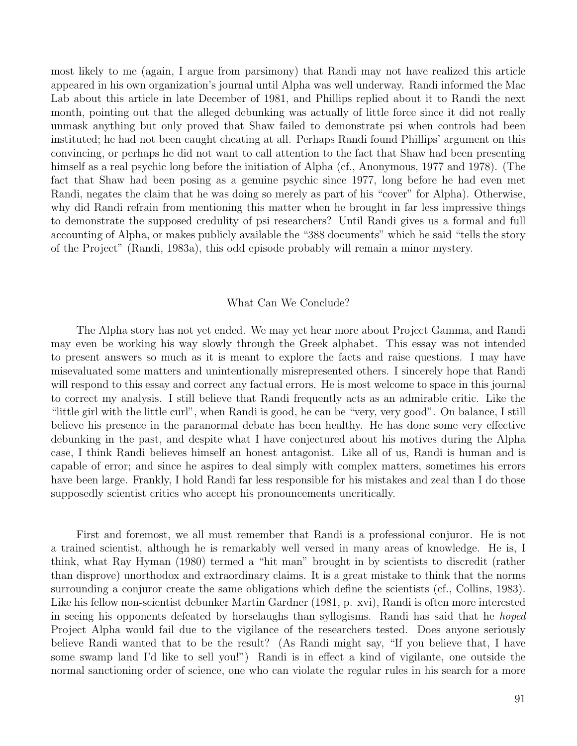most likely to me (again, I argue from parsimony) that Randi may not have realized this article appeared in his own organization's journal until Alpha was well underway. Randi informed the Mac Lab about this article in late December of 1981, and Phillips replied about it to Randi the next month, pointing out that the alleged debunking was actually of little force since it did not really unmask anything but only proved that Shaw failed to demonstrate psi when controls had been instituted; he had not been caught cheating at all. Perhaps Randi found Phillips' argument on this convincing, or perhaps he did not want to call attention to the fact that Shaw had been presenting himself as a real psychic long before the initiation of Alpha (cf., Anonymous, 1977 and 1978). (The fact that Shaw had been posing as a genuine psychic since 1977, long before he had even met Randi, negates the claim that he was doing so merely as part of his "cover" for Alpha). Otherwise, why did Randi refrain from mentioning this matter when he brought in far less impressive things to demonstrate the supposed credulity of psi researchers? Until Randi gives us a formal and full accounting of Alpha, or makes publicly available the "388 documents" which he said "tells the story of the Project" (Randi, 1983a), this odd episode probably will remain a minor mystery.

#### What Can We Conclude?

The Alpha story has not yet ended. We may yet hear more about Project Gamma, and Randi may even be working his way slowly through the Greek alphabet. This essay was not intended to present answers so much as it is meant to explore the facts and raise questions. I may have misevaluated some matters and unintentionally misrepresented others. I sincerely hope that Randi will respond to this essay and correct any factual errors. He is most welcome to space in this journal to correct my analysis. I still believe that Randi frequently acts as an admirable critic. Like the "little girl with the little curl", when Randi is good, he can be "very, very good". On balance, I still believe his presence in the paranormal debate has been healthy. He has done some very effective debunking in the past, and despite what I have conjectured about his motives during the Alpha case, I think Randi believes himself an honest antagonist. Like all of us, Randi is human and is capable of error; and since he aspires to deal simply with complex matters, sometimes his errors have been large. Frankly, I hold Randi far less responsible for his mistakes and zeal than I do those supposedly scientist critics who accept his pronouncements uncritically.

First and foremost, we all must remember that Randi is a professional conjuror. He is not a trained scientist, although he is remarkably well versed in many areas of knowledge. He is, I think, what Ray Hyman (1980) termed a "hit man" brought in by scientists to discredit (rather than disprove) unorthodox and extraordinary claims. It is a great mistake to think that the norms surrounding a conjuror create the same obligations which define the scientists (cf., Collins, 1983). Like his fellow non-scientist debunker Martin Gardner (1981, p. xvi), Randi is often more interested in seeing his opponents defeated by horselaughs than syllogisms. Randi has said that he hoped Project Alpha would fail due to the vigilance of the researchers tested. Does anyone seriously believe Randi wanted that to be the result? (As Randi might say, "If you believe that, I have some swamp land I'd like to sell you!") Randi is in effect a kind of vigilante, one outside the normal sanctioning order of science, one who can violate the regular rules in his search for a more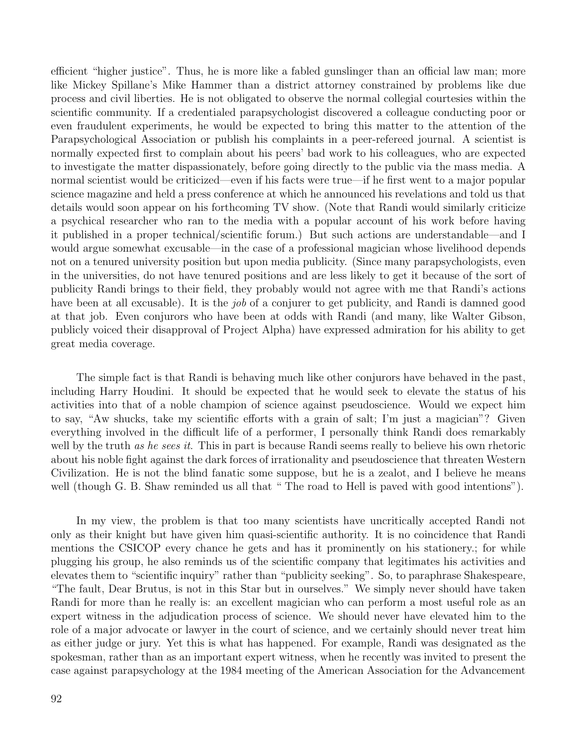efficient "higher justice". Thus, he is more like a fabled gunslinger than an official law man; more like Mickey Spillane's Mike Hammer than a district attorney constrained by problems like due process and civil liberties. He is not obligated to observe the normal collegial courtesies within the scientific community. If a credentialed parapsychologist discovered a colleague conducting poor or even fraudulent experiments, he would be expected to bring this matter to the attention of the Parapsychological Association or publish his complaints in a peer-refereed journal. A scientist is normally expected first to complain about his peers' bad work to his colleagues, who are expected to investigate the matter dispassionately, before going directly to the public via the mass media. A normal scientist would be criticized—even if his facts were true—if he first went to a major popular science magazine and held a press conference at which he announced his revelations and told us that details would soon appear on his forthcoming TV show. (Note that Randi would similarly criticize a psychical researcher who ran to the media with a popular account of his work before having it published in a proper technical/scientific forum.) But such actions are understandable—and I would argue somewhat excusable—in the case of a professional magician whose livelihood depends not on a tenured university position but upon media publicity. (Since many parapsychologists, even in the universities, do not have tenured positions and are less likely to get it because of the sort of publicity Randi brings to their field, they probably would not agree with me that Randi's actions have been at all excusable). It is the *job* of a conjurer to get publicity, and Randi is damned good at that job. Even conjurors who have been at odds with Randi (and many, like Walter Gibson, publicly voiced their disapproval of Project Alpha) have expressed admiration for his ability to get great media coverage.

The simple fact is that Randi is behaving much like other conjurors have behaved in the past, including Harry Houdini. It should be expected that he would seek to elevate the status of his activities into that of a noble champion of science against pseudoscience. Would we expect him to say, "Aw shucks, take my scientific efforts with a grain of salt; I'm just a magician"? Given everything involved in the difficult life of a performer, I personally think Randi does remarkably well by the truth as he sees it. This in part is because Randi seems really to believe his own rhetoric about his noble fight against the dark forces of irrationality and pseudoscience that threaten Western Civilization. He is not the blind fanatic some suppose, but he is a zealot, and I believe he means well (though G. B. Shaw reminded us all that "The road to Hell is paved with good intentions").

In my view, the problem is that too many scientists have uncritically accepted Randi not only as their knight but have given him quasi-scientific authority. It is no coincidence that Randi mentions the CSICOP every chance he gets and has it prominently on his stationery.; for while plugging his group, he also reminds us of the scientific company that legitimates his activities and elevates them to "scientific inquiry" rather than "publicity seeking". So, to paraphrase Shakespeare, "The fault, Dear Brutus, is not in this Star but in ourselves." We simply never should have taken Randi for more than he really is: an excellent magician who can perform a most useful role as an expert witness in the adjudication process of science. We should never have elevated him to the role of a major advocate or lawyer in the court of science, and we certainly should never treat him as either judge or jury. Yet this is what has happened. For example, Randi was designated as the spokesman, rather than as an important expert witness, when he recently was invited to present the case against parapsychology at the 1984 meeting of the American Association for the Advancement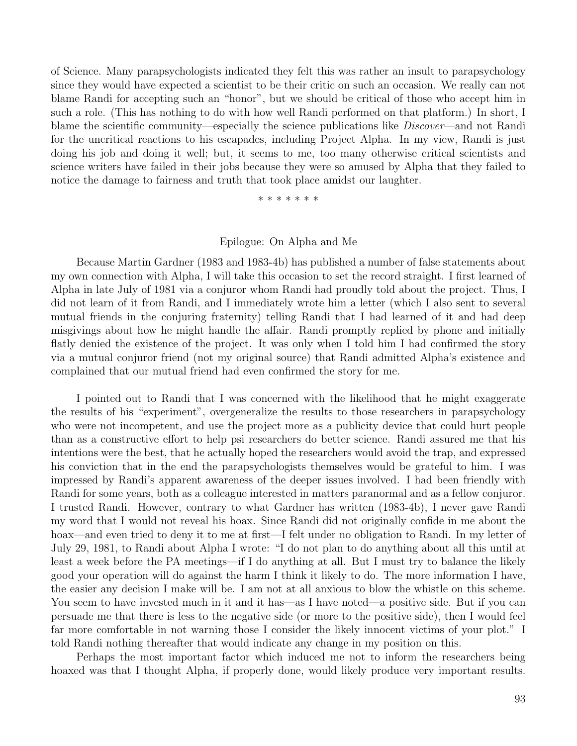of Science. Many parapsychologists indicated they felt this was rather an insult to parapsychology since they would have expected a scientist to be their critic on such an occasion. We really can not blame Randi for accepting such an "honor", but we should be critical of those who accept him in such a role. (This has nothing to do with how well Randi performed on that platform.) In short, I blame the scientific community—especially the science publications like *Discover*—and not Randi for the uncritical reactions to his escapades, including Project Alpha. In my view, Randi is just doing his job and doing it well; but, it seems to me, too many otherwise critical scientists and science writers have failed in their jobs because they were so amused by Alpha that they failed to notice the damage to fairness and truth that took place amidst our laughter.

\* \* \* \* \* \* \*

#### Epilogue: On Alpha and Me

Because Martin Gardner (1983 and 1983-4b) has published a number of false statements about my own connection with Alpha, I will take this occasion to set the record straight. I first learned of Alpha in late July of 1981 via a conjuror whom Randi had proudly told about the project. Thus, I did not learn of it from Randi, and I immediately wrote him a letter (which I also sent to several mutual friends in the conjuring fraternity) telling Randi that I had learned of it and had deep misgivings about how he might handle the affair. Randi promptly replied by phone and initially flatly denied the existence of the project. It was only when I told him I had confirmed the story via a mutual conjuror friend (not my original source) that Randi admitted Alpha's existence and complained that our mutual friend had even confirmed the story for me.

I pointed out to Randi that I was concerned with the likelihood that he might exaggerate the results of his "experiment", overgeneralize the results to those researchers in parapsychology who were not incompetent, and use the project more as a publicity device that could hurt people than as a constructive effort to help psi researchers do better science. Randi assured me that his intentions were the best, that he actually hoped the researchers would avoid the trap, and expressed his conviction that in the end the parapsychologists themselves would be grateful to him. I was impressed by Randi's apparent awareness of the deeper issues involved. I had been friendly with Randi for some years, both as a colleague interested in matters paranormal and as a fellow conjuror. I trusted Randi. However, contrary to what Gardner has written (1983-4b), I never gave Randi my word that I would not reveal his hoax. Since Randi did not originally confide in me about the hoax—and even tried to deny it to me at first—I felt under no obligation to Randi. In my letter of July 29, 1981, to Randi about Alpha I wrote: "I do not plan to do anything about all this until at least a week before the PA meetings—if I do anything at all. But I must try to balance the likely good your operation will do against the harm I think it likely to do. The more information I have, the easier any decision I make will be. I am not at all anxious to blow the whistle on this scheme. You seem to have invested much in it and it has—as I have noted—a positive side. But if you can persuade me that there is less to the negative side (or more to the positive side), then I would feel far more comfortable in not warning those I consider the likely innocent victims of your plot." I told Randi nothing thereafter that would indicate any change in my position on this.

Perhaps the most important factor which induced me not to inform the researchers being hoaxed was that I thought Alpha, if properly done, would likely produce very important results.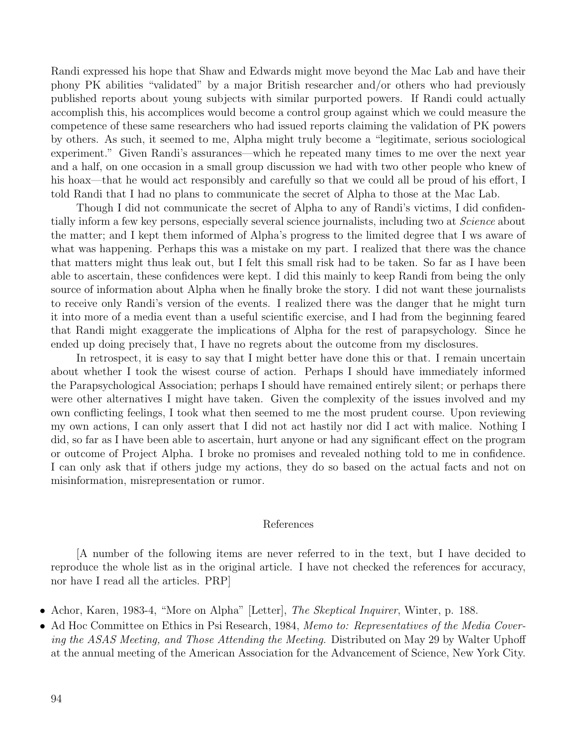Randi expressed his hope that Shaw and Edwards might move beyond the Mac Lab and have their phony PK abilities "validated" by a major British researcher and/or others who had previously published reports about young subjects with similar purported powers. If Randi could actually accomplish this, his accomplices would become a control group against which we could measure the competence of these same researchers who had issued reports claiming the validation of PK powers by others. As such, it seemed to me, Alpha might truly become a "legitimate, serious sociological experiment." Given Randi's assurances—which he repeated many times to me over the next year and a half, on one occasion in a small group discussion we had with two other people who knew of his hoax—that he would act responsibly and carefully so that we could all be proud of his effort, I told Randi that I had no plans to communicate the secret of Alpha to those at the Mac Lab.

Though I did not communicate the secret of Alpha to any of Randi's victims, I did confidentially inform a few key persons, especially several science journalists, including two at Science about the matter; and I kept them informed of Alpha's progress to the limited degree that I ws aware of what was happening. Perhaps this was a mistake on my part. I realized that there was the chance that matters might thus leak out, but I felt this small risk had to be taken. So far as I have been able to ascertain, these confidences were kept. I did this mainly to keep Randi from being the only source of information about Alpha when he finally broke the story. I did not want these journalists to receive only Randi's version of the events. I realized there was the danger that he might turn it into more of a media event than a useful scientific exercise, and I had from the beginning feared that Randi might exaggerate the implications of Alpha for the rest of parapsychology. Since he ended up doing precisely that, I have no regrets about the outcome from my disclosures.

In retrospect, it is easy to say that I might better have done this or that. I remain uncertain about whether I took the wisest course of action. Perhaps I should have immediately informed the Parapsychological Association; perhaps I should have remained entirely silent; or perhaps there were other alternatives I might have taken. Given the complexity of the issues involved and my own conflicting feelings, I took what then seemed to me the most prudent course. Upon reviewing my own actions, I can only assert that I did not act hastily nor did I act with malice. Nothing I did, so far as I have been able to ascertain, hurt anyone or had any significant effect on the program or outcome of Project Alpha. I broke no promises and revealed nothing told to me in confidence. I can only ask that if others judge my actions, they do so based on the actual facts and not on misinformation, misrepresentation or rumor.

#### References

[A number of the following items are never referred to in the text, but I have decided to reproduce the whole list as in the original article. I have not checked the references for accuracy, nor have I read all the articles. PRP]

- Achor, Karen, 1983-4, "More on Alpha" [Letter], *The Skeptical Inquirer*, Winter, p. 188.
- Ad Hoc Committee on Ethics in Psi Research, 1984, Memo to: Representatives of the Media Covering the ASAS Meeting, and Those Attending the Meeting. Distributed on May 29 by Walter Uphoff at the annual meeting of the American Association for the Advancement of Science, New York City.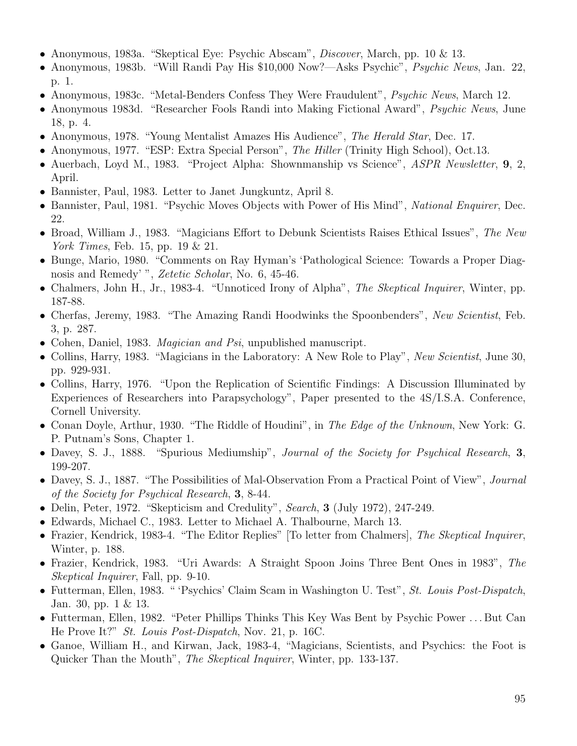- Anonymous, 1983a. "Skeptical Eye: Psychic Abscam", Discover, March, pp. 10 & 13.
- Anonymous, 1983b. "Will Randi Pay His \$10,000 Now?—Asks Psychic", Psychic News, Jan. 22, p. 1.
- Anonymous, 1983c. "Metal-Benders Confess They Were Fraudulent", *Psychic News*, March 12.
- Anonymous 1983d. "Researcher Fools Randi into Making Fictional Award", Psychic News, June 18, p. 4.
- Anonymous, 1978. "Young Mentalist Amazes His Audience", The Herald Star, Dec. 17.
- Anonymous, 1977. "ESP: Extra Special Person", The Hiller (Trinity High School), Oct.13.
- Auerbach, Loyd M., 1983. "Project Alpha: Shownmanship vs Science", *ASPR Newsletter*, 9, 2, April.
- Bannister, Paul, 1983. Letter to Janet Jungkuntz, April 8.
- Bannister, Paul, 1981. "Psychic Moves Objects with Power of His Mind", *National Enquirer*, Dec. 22.
- Broad, William J., 1983. "Magicians Effort to Debunk Scientists Raises Ethical Issues", The New York Times, Feb. 15, pp. 19 & 21.
- Bunge, Mario, 1980. "Comments on Ray Hyman's 'Pathological Science: Towards a Proper Diagnosis and Remedy' ", Zetetic Scholar, No. 6, 45-46.
- Chalmers, John H., Jr., 1983-4. "Unnoticed Irony of Alpha", The Skeptical Inquirer, Winter, pp. 187-88.
- Cherfas, Jeremy, 1983. "The Amazing Randi Hoodwinks the Spoonbenders", New Scientist, Feb. 3, p. 287.
- Cohen, Daniel, 1983. *Magician and Psi*, unpublished manuscript.
- Collins, Harry, 1983. "Magicians in the Laboratory: A New Role to Play", New Scientist, June 30, pp. 929-931.
- Collins, Harry, 1976. "Upon the Replication of Scientific Findings: A Discussion Illuminated by Experiences of Researchers into Parapsychology", Paper presented to the 4S/I.S.A. Conference, Cornell University.
- Conan Doyle, Arthur, 1930. "The Riddle of Houdini", in The Edge of the Unknown, New York: G. P. Putnam's Sons, Chapter 1.
- Davey, S. J., 1888. "Spurious Mediumship", Journal of the Society for Psychical Research, 3, 199-207.
- Davey, S. J., 1887. "The Possibilities of Mal-Observation From a Practical Point of View", *Journal* of the Society for Psychical Research, 3, 8-44.
- Delin, Peter, 1972. "Skepticism and Credulity", Search, 3 (July 1972), 247-249.
- Edwards, Michael C., 1983. Letter to Michael A. Thalbourne, March 13.
- Frazier, Kendrick, 1983-4. "The Editor Replies" [To letter from Chalmers], The Skeptical Inquirer, Winter, p. 188.
- Frazier, Kendrick, 1983. "Uri Awards: A Straight Spoon Joins Three Bent Ones in 1983", The Skeptical Inquirer, Fall, pp. 9-10.
- Futterman, Ellen, 1983. " 'Psychics' Claim Scam in Washington U. Test", St. Louis Post-Dispatch, Jan. 30, pp. 1 & 13.
- Futterman, Ellen, 1982. "Peter Phillips Thinks This Key Was Bent by Psychic Power . . . But Can He Prove It?" St. Louis Post-Dispatch, Nov. 21, p. 16C.
- Ganoe, William H., and Kirwan, Jack, 1983-4, "Magicians, Scientists, and Psychics: the Foot is Quicker Than the Mouth", *The Skeptical Inquirer*, Winter, pp. 133-137.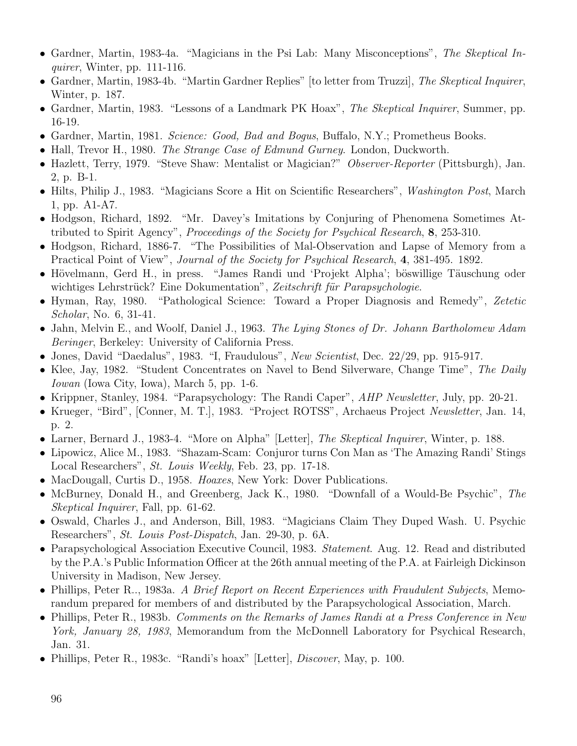- Gardner, Martin, 1983-4a. "Magicians in the Psi Lab: Many Misconceptions", The Skeptical Inquirer, Winter, pp. 111-116.
- Gardner, Martin, 1983-4b. "Martin Gardner Replies" [to letter from Truzzi], The Skeptical Inquirer, Winter, p. 187.
- Gardner, Martin, 1983. "Lessons of a Landmark PK Hoax", The Skeptical Inquirer, Summer, pp. 16-19.
- Gardner, Martin, 1981. Science: Good, Bad and Bogus, Buffalo, N.Y.; Prometheus Books.
- Hall, Trevor H., 1980. *The Strange Case of Edmund Gurney*. London, Duckworth.
- Hazlett, Terry, 1979. "Steve Shaw: Mentalist or Magician?" Observer-Reporter (Pittsburgh), Jan. 2, p. B-1.
- Hilts, Philip J., 1983. "Magicians Score a Hit on Scientific Researchers", Washington Post, March 1, pp. A1-A7.
- Hodgson, Richard, 1892. "Mr. Davey's Imitations by Conjuring of Phenomena Sometimes Attributed to Spirit Agency", Proceedings of the Society for Psychical Research, 8, 253-310.
- Hodgson, Richard, 1886-7. "The Possibilities of Mal-Observation and Lapse of Memory from a Practical Point of View", Journal of the Society for Psychical Research, 4, 381-495. 1892.
- Hövelmann, Gerd H., in press. "James Randi und 'Projekt Alpha'; böswillige Täuschung oder wichtiges Lehrstrück? Eine Dokumentation", Zeitschrift für Parapsychologie.
- Hyman, Ray, 1980. "Pathological Science: Toward a Proper Diagnosis and Remedy", Zetetic Scholar, No. 6, 31-41.
- Jahn, Melvin E., and Woolf, Daniel J., 1963. The Lying Stones of Dr. Johann Bartholomew Adam Beringer, Berkeley: University of California Press.
- Jones, David "Daedalus", 1983. "I, Fraudulous", New Scientist, Dec. 22/29, pp. 915-917.
- Klee, Jay, 1982. "Student Concentrates on Navel to Bend Silverware, Change Time", The Daily Iowan (Iowa City, Iowa), March 5, pp. 1-6.
- Krippner, Stanley, 1984. "Parapsychology: The Randi Caper", *AHP Newsletter*, July, pp. 20-21.
- Krueger, "Bird", [Conner, M. T.], 1983. "Project ROTSS", Archaeus Project Newsletter, Jan. 14, p. 2.
- Larner, Bernard J., 1983-4. "More on Alpha" [Letter], *The Skeptical Inquirer*, Winter, p. 188.
- Lipowicz, Alice M., 1983. "Shazam-Scam: Conjuror turns Con Man as 'The Amazing Randi' Stings Local Researchers", St. Louis Weekly, Feb. 23, pp. 17-18.
- MacDougall, Curtis D., 1958. *Hoaxes*, New York: Dover Publications.
- McBurney, Donald H., and Greenberg, Jack K., 1980. "Downfall of a Would-Be Psychic", The Skeptical Inquirer, Fall, pp. 61-62.
- Oswald, Charles J., and Anderson, Bill, 1983. "Magicians Claim They Duped Wash. U. Psychic Researchers", St. Louis Post-Dispatch, Jan. 29-30, p. 6A.
- Parapsychological Association Executive Council, 1983. *Statement*. Aug. 12. Read and distributed by the P.A.'s Public Information Officer at the 26th annual meeting of the P.A. at Fairleigh Dickinson University in Madison, New Jersey.
- Phillips, Peter R.., 1983a. A Brief Report on Recent Experiences with Fraudulent Subjects, Memorandum prepared for members of and distributed by the Parapsychological Association, March.
- Phillips, Peter R., 1983b. Comments on the Remarks of James Randi at a Press Conference in New York, January 28, 1983, Memorandum from the McDonnell Laboratory for Psychical Research, Jan. 31.
- Phillips, Peter R., 1983c. "Randi's hoax" [Letter], *Discover*, May, p. 100.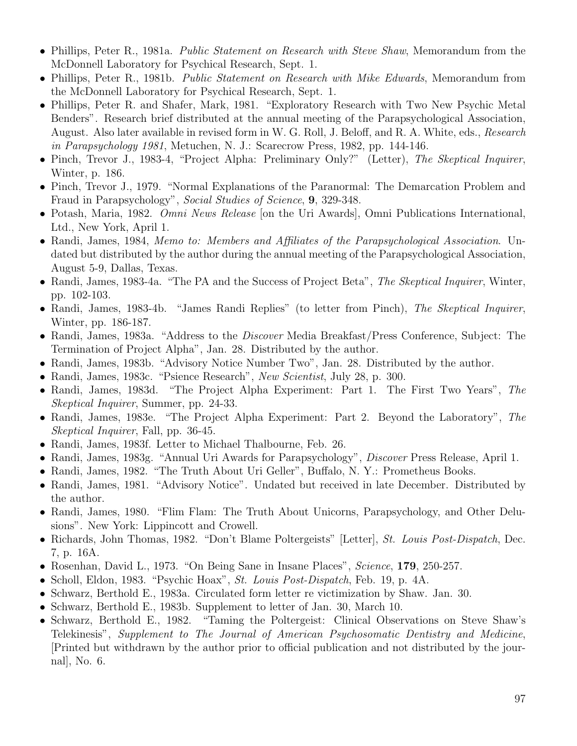- Phillips, Peter R., 1981a. *Public Statement on Research with Steve Shaw*, Memorandum from the McDonnell Laboratory for Psychical Research, Sept. 1.
- Phillips, Peter R., 1981b. Public Statement on Research with Mike Edwards, Memorandum from the McDonnell Laboratory for Psychical Research, Sept. 1.
- Phillips, Peter R. and Shafer, Mark, 1981. "Exploratory Research with Two New Psychic Metal Benders". Research brief distributed at the annual meeting of the Parapsychological Association, August. Also later available in revised form in W. G. Roll, J. Beloff, and R. A. White, eds., Research in Parapsychology 1981, Metuchen, N. J.: Scarecrow Press, 1982, pp. 144-146.
- Pinch, Trevor J., 1983-4, "Project Alpha: Preliminary Only?" (Letter), The Skeptical Inquirer, Winter, p. 186.
- Pinch, Trevor J., 1979. "Normal Explanations of the Paranormal: The Demarcation Problem and Fraud in Parapsychology", Social Studies of Science, 9, 329-348.
- Potash, Maria, 1982. *Omni News Release* [on the Uri Awards], Omni Publications International, Ltd., New York, April 1.
- Randi, James, 1984, *Memo to: Members and Affiliates of the Parapsychological Association.* Undated but distributed by the author during the annual meeting of the Parapsychological Association, August 5-9, Dallas, Texas.
- Randi, James, 1983-4a. "The PA and the Success of Project Beta", The Skeptical Inquirer, Winter, pp. 102-103.
- Randi, James, 1983-4b. "James Randi Replies" (to letter from Pinch), The Skeptical Inquirer, Winter, pp. 186-187.
- Randi, James, 1983a. "Address to the *Discover* Media Breakfast/Press Conference, Subject: The Termination of Project Alpha", Jan. 28. Distributed by the author.
- Randi, James, 1983b. "Advisory Notice Number Two", Jan. 28. Distributed by the author.
- Randi, James, 1983c. "Psience Research", New Scientist, July 28, p. 300.
- Randi, James, 1983d. "The Project Alpha Experiment: Part 1. The First Two Years", The Skeptical Inquirer, Summer, pp. 24-33.
- Randi, James, 1983e. "The Project Alpha Experiment: Part 2. Beyond the Laboratory", The Skeptical Inquirer, Fall, pp. 36-45.
- Randi, James, 1983f. Letter to Michael Thalbourne, Feb. 26.
- Randi, James, 1983g. "Annual Uri Awards for Parapsychology", Discover Press Release, April 1.
- Randi, James, 1982. "The Truth About Uri Geller", Buffalo, N. Y.: Prometheus Books.
- Randi, James, 1981. "Advisory Notice". Undated but received in late December. Distributed by the author.
- Randi, James, 1980. "Flim Flam: The Truth About Unicorns, Parapsychology, and Other Delusions". New York: Lippincott and Crowell.
- Richards, John Thomas, 1982. "Don't Blame Poltergeists" [Letter], St. Louis Post-Dispatch, Dec. 7, p. 16A.
- Rosenhan, David L., 1973. "On Being Sane in Insane Places", Science, 179, 250-257.
- Scholl, Eldon, 1983. "Psychic Hoax", St. Louis Post-Dispatch, Feb. 19, p. 4A.
- Schwarz, Berthold E., 1983a. Circulated form letter re victimization by Shaw. Jan. 30.
- Schwarz, Berthold E., 1983b. Supplement to letter of Jan. 30, March 10.
- Schwarz, Berthold E., 1982. "Taming the Poltergeist: Clinical Observations on Steve Shaw's Telekinesis", Supplement to The Journal of American Psychosomatic Dentistry and Medicine, [Printed but withdrawn by the author prior to official publication and not distributed by the journal], No. 6.